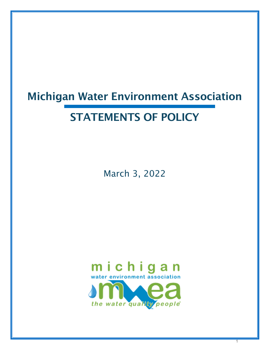# Michigan Water Environment Association

# STATEMENTS OF POLICY

March 3, 2022



1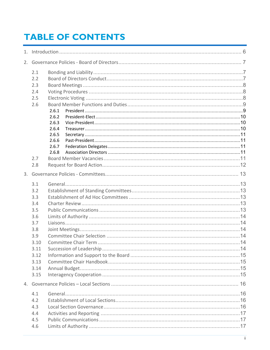# **TABLE OF CONTENTS**

| 2.1<br>2.2<br>2.3<br>2.4<br>2.5<br>2.6<br>2.6.1<br>2.6.2<br>2.6.3<br>2.6.4<br>2.6.5<br>2.6.6<br>2.6.7<br>2.6.8<br>2.7<br>2.8 |  |  |  |  |
|------------------------------------------------------------------------------------------------------------------------------|--|--|--|--|
|                                                                                                                              |  |  |  |  |
| 3.1<br>3.2<br>3.3<br>3.4<br>3.5<br>3.6<br>3.7<br>3.8<br>3.9<br>3.10<br>3.11<br>3.12<br>3.13<br>3.14<br>3.15                  |  |  |  |  |
| 4.1<br>4.2<br>4.3<br>4.4<br>4.5                                                                                              |  |  |  |  |
| 4.6                                                                                                                          |  |  |  |  |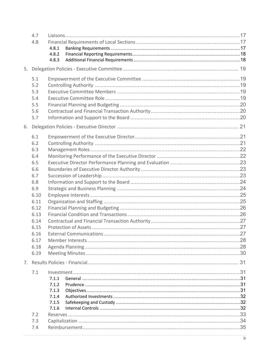|    | 4.7<br>4.8                                    | 4.8.1<br>4.8.2<br>4.8.3 |  |  |
|----|-----------------------------------------------|-------------------------|--|--|
| 5. |                                               |                         |  |  |
|    | 5.1<br>5.2<br>5.3<br>5.4<br>5.5<br>5.6<br>5.7 |                         |  |  |
| 6. |                                               |                         |  |  |
|    | 6.1<br>6.2<br>6.3                             |                         |  |  |
|    | 6.4                                           |                         |  |  |
|    | 6.5                                           |                         |  |  |
|    | 6.6                                           |                         |  |  |
|    | 6.7                                           |                         |  |  |
|    | 6.8                                           |                         |  |  |
|    | 6.9                                           |                         |  |  |
|    | 6.10                                          |                         |  |  |
|    | 6.11                                          |                         |  |  |
|    | 6.12                                          |                         |  |  |
|    | 6.13                                          |                         |  |  |
|    | 6.14                                          |                         |  |  |
|    | 6.15                                          |                         |  |  |
|    | 6.16                                          |                         |  |  |
|    | 6.17                                          |                         |  |  |
|    | 6.18<br>6.19                                  |                         |  |  |
|    |                                               |                         |  |  |
|    |                                               |                         |  |  |
|    | 7.1                                           |                         |  |  |
|    |                                               | 7.1.1<br>7.1.2          |  |  |
|    |                                               | 7.1.3                   |  |  |
|    |                                               | 7.1.4                   |  |  |
|    |                                               | 7.1.5                   |  |  |
|    |                                               | 7.1.6                   |  |  |
|    | 7.2                                           |                         |  |  |
|    | 7.3                                           |                         |  |  |
|    | 7.4                                           |                         |  |  |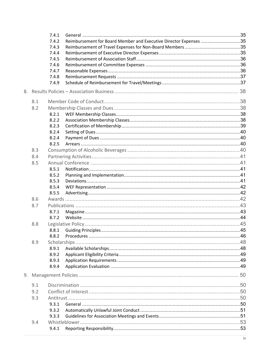|    |     | 7.4.1 |                                                                   |  |
|----|-----|-------|-------------------------------------------------------------------|--|
|    |     | 7.4.2 | Reimbursement for Board Member and Executive Director Expenses 35 |  |
|    |     | 7.4.3 |                                                                   |  |
|    |     | 7.4.4 |                                                                   |  |
|    |     | 7.4.5 |                                                                   |  |
|    |     | 7.4.6 |                                                                   |  |
|    |     | 7.4.7 |                                                                   |  |
|    |     | 7.4.8 |                                                                   |  |
|    |     | 7.4.9 |                                                                   |  |
| 8. |     |       |                                                                   |  |
|    | 8.1 |       |                                                                   |  |
|    | 8.2 |       |                                                                   |  |
|    |     | 8.2.1 |                                                                   |  |
|    |     | 8.2.2 |                                                                   |  |
|    |     | 8.2.3 |                                                                   |  |
|    |     | 8.2.4 |                                                                   |  |
|    |     | 8.2.4 |                                                                   |  |
|    |     | 8.2.5 |                                                                   |  |
|    | 8.3 |       |                                                                   |  |
|    | 8.4 |       |                                                                   |  |
|    | 8.5 |       |                                                                   |  |
|    |     | 8.5.1 |                                                                   |  |
|    |     | 8.5.2 |                                                                   |  |
|    |     | 8.5.3 |                                                                   |  |
|    |     | 8.5.4 |                                                                   |  |
|    |     | 8.5.5 |                                                                   |  |
|    | 8.6 |       |                                                                   |  |
|    | 8.7 |       |                                                                   |  |
|    |     | 8.7.1 |                                                                   |  |
|    |     | 8.7.2 |                                                                   |  |
|    | 8.8 |       |                                                                   |  |
|    |     |       |                                                                   |  |
|    |     | 8.8.2 |                                                                   |  |
|    | 8.9 |       |                                                                   |  |
|    |     | 8.9.1 |                                                                   |  |
|    |     | 8.9.2 |                                                                   |  |
|    |     | 8.9.3 |                                                                   |  |
|    |     | 8.9.4 |                                                                   |  |
| 9. |     |       |                                                                   |  |
|    | 9.1 |       |                                                                   |  |
|    | 9.2 |       |                                                                   |  |
|    | 9.3 |       |                                                                   |  |
|    |     | 9.3.1 |                                                                   |  |
|    |     | 9.3.2 |                                                                   |  |
|    |     | 9.3.3 |                                                                   |  |
|    | 9.4 |       |                                                                   |  |
|    |     |       |                                                                   |  |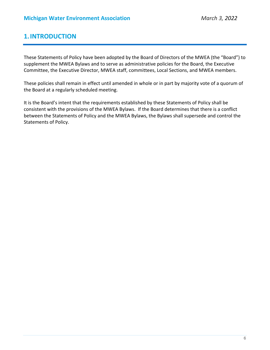# **1.INTRODUCTION**

These Statements of Policy have been adopted by the Board of Directors of the MWEA (the "Board") to supplement the MWEA Bylaws and to serve as administrative policies for the Board, the Executive Committee, the Executive Director, MWEA staff, committees, Local Sections, and MWEA members.

These policies shall remain in effect until amended in whole or in part by majority vote of a quorum of the Board at a regularly scheduled meeting.

It is the Board's intent that the requirements established by these Statements of Policy shall be consistent with the provisions of the MWEA Bylaws. If the Board determines that there is a conflict between the Statements of Policy and the MWEA Bylaws, the Bylaws shall supersede and control the Statements of Policy.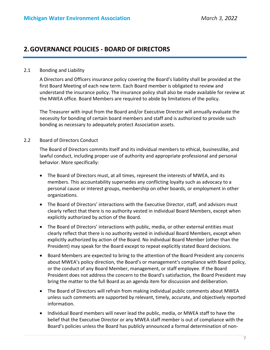# **2.GOVERNANCE POLICIES ‐ BOARD OF DIRECTORS**

#### 2.1 Bonding and Liability

A Directors and Officers insurance policy covering the Board's liability shall be provided at the first Board Meeting of each new term. Each Board member is obligated to review and understand the insurance policy. The insurance policy shall also be made available for review at the MWEA office. Board Members are required to abide by limitations of the policy.

The Treasurer with input from the Board and/or Executive Director will annually evaluate the necessity for bonding of certain board members and staff and is authorized to provide such bonding as necessary to adequately protect Association assets.

# 2.2 Board of Directors Conduct

The Board of Directors commits itself and its individual members to ethical, businesslike, and lawful conduct, including proper use of authority and appropriate professional and personal behavior. More specifically:

- The Board of Directors must, at all times, represent the interests of MWEA, and its members. This accountability supersedes any conflicting loyalty such as advocacy to a personal cause or interest groups, membership on other boards, or employment in other organizations.
- The Board of Directors' interactions with the Executive Director, staff, and advisors must clearly reflect that there is no authority vested in individual Board Members, except when explicitly authorized by action of the Board.
- The Board of Directors' interactions with public, media, or other external entities must clearly reflect that there is no authority vested in individual Board Members, except when explicitly authorized by action of the Board. No individual Board Member (other than the President) may speak for the Board except to repeat explicitly stated Board decisions.
- Board Members are expected to bring to the attention of the Board President any concerns about MWEA's policy direction, the Board's or management's compliance with Board policy, or the conduct of any Board Member, management, or staff employee. If the Board President does not address the concern to the Board's satisfaction, the Board President may bring the matter to the full Board as an agenda item for discussion and deliberation.
- The Board of Directors will refrain from making individual public comments about MWEA unless such comments are supported by relevant, timely, accurate, and objectively reported information.
- Individual Board members will never lead the public, media, or MWEA staff to have the belief that the Executive Director or any MWEA staff member is out of compliance with the Board's policies unless the Board has publicly announced a formal determination of non‐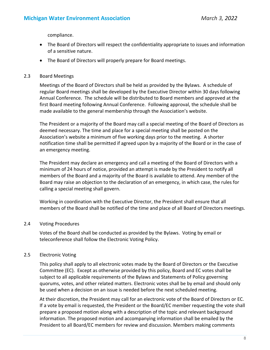compliance.

- The Board of Directors will respect the confidentiality appropriate to issues and information of a sensitive nature.
- The Board of Directors will properly prepare for Board meetings.

#### 2.3 Board Meetings

Meetings of the Board of Directors shall be held as provided by the Bylaws. A schedule of regular Board meetings shall be developed by the Executive Director within 30 days following Annual Conference. The schedule will be distributed to Board members and approved at the first Board meeting following Annual Conference. Following approval, the schedule shall be made available to the general membership through the Association's website.

The President or a majority of the Board may call a special meeting of the Board of Directors as deemed necessary. The time and place for a special meeting shall be posted on the Association's website a minimum of five working days prior to the meeting. A shorter notification time shall be permitted if agreed upon by a majority of the Board or in the case of an emergency meeting.

The President may declare an emergency and call a meeting of the Board of Directors with a minimum of 24 hours of notice, provided an attempt is made by the President to notify all members of the Board and a majority of the Board is available to attend. Any member of the Board may raise an objection to the declaration of an emergency, in which case, the rules for calling a special meeting shall govern.

Working in coordination with the Executive Director, the President shall ensure that all members of the Board shall be notified of the time and place of all Board of Directors meetings.

# 2.4 Voting Procedures

Votes of the Board shall be conducted as provided by the Bylaws. Voting by email or teleconference shall follow the Electronic Voting Policy.

# 2.5 Electronic Voting

This policy shall apply to all electronic votes made by the Board of Directors or the Executive Committee (EC). Except as otherwise provided by this policy, Board and EC votes shall be subject to all applicable requirements of the Bylaws and Statements of Policy governing quorums, votes, and other related matters. Electronic votes shall be by email and should only be used when a decision on an issue is needed before the next scheduled meeting.

At their discretion, the President may call for an electronic vote of the Board of Directors or EC. If a vote by email is requested, the President or the Board/EC member requesting the vote shall prepare a proposed motion along with a description of the topic and relevant background information. The proposed motion and accompanying information shall be emailed by the President to all Board/EC members for review and discussion. Members making comments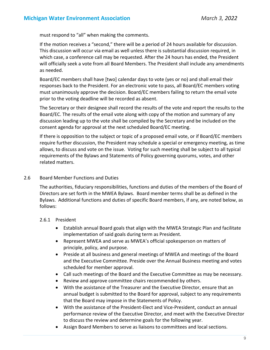must respond to "all" when making the comments.

If the motion receives a "second," there will be a period of 24 hours available for discussion. This discussion will occur via email as well unless there is substantial discussion required, in which case, a conference call may be requested. After the 24 hours has ended, the President will officially seek a vote from all Board Members. The President shall include any amendments as needed.

Board/EC members shall have [two] calendar days to vote (yes or no) and shall email their responses back to the President. For an electronic vote to pass, all Board/EC members voting must unanimously approve the decision. Board/EC members failing to return the email vote prior to the voting deadline will be recorded as absent.

The Secretary or their designee shall record the results of the vote and report the results to the Board/EC. The results of the email vote along with copy of the motion and summary of any discussion leading up to the vote shall be compiled by the Secretary and be included on the consent agenda for approval at the next scheduled Board/EC meeting.

If there is opposition to the subject or topic of a proposed email vote, or if Board/EC members require further discussion, the President may schedule a special or emergency meeting, as time allows, to discuss and vote on the issue. Voting for such meeting shall be subject to all typical requirements of the Bylaws and Statements of Policy governing quorums, votes, and other related matters.

### 2.6 Board Member Functions and Duties

The authorities, fiduciary responsibilities, functions and duties of the members of the Board of Directors are set forth in the MWEA Bylaws. Board member terms shall be as defined in the Bylaws. Additional functions and duties of specific Board members, if any, are noted below, as follows:

# 2.6.1 President

- Establish annual Board goals that align with the MWEA Strategic Plan and facilitate implementation of said goals during term as President.
- Represent MWEA and serve as MWEA's official spokesperson on matters of principle, policy, and purpose.
- Preside at all business and general meetings of MWEA and meetings of the Board and the Executive Committee. Preside over the Annual Business meeting and votes scheduled for member approval.
- Call such meetings of the Board and the Executive Committee as may be necessary.
- Review and approve committee chairs recommended by others.
- With the assistance of the Treasurer and the Executive Director, ensure that an annual budget is submitted to the Board for approval, subject to any requirements that the Board may impose in the Statements of Policy.
- With the assistance of the President‐Elect and Vice‐President, conduct an annual performance review of the Executive Director, and meet with the Executive Director to discuss the review and determine goals for the following year.
- Assign Board Members to serve as liaisons to committees and local sections.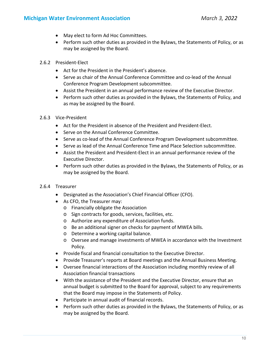- May elect to form Ad Hoc Committees.
- Perform such other duties as provided in the Bylaws, the Statements of Policy, or as may be assigned by the Board.
- 2.6.2 President‐Elect
	- Act for the President in the President's absence.
	- Serve as chair of the Annual Conference Committee and co-lead of the Annual Conference Program Development subcommittee.
	- Assist the President in an annual performance review of the Executive Director.
	- Perform such other duties as provided in the Bylaws, the Statements of Policy, and as may be assigned by the Board.
- 2.6.3 Vice‐President
	- Act for the President in absence of the President and President-Elect.
	- Serve on the Annual Conference Committee.
	- Serve as co-lead of the Annual Conference Program Development subcommittee.
	- Serve as lead of the Annual Conference Time and Place Selection subcommittee.
	- Assist the President and President-Elect in an annual performance review of the Executive Director.
	- Perform such other duties as provided in the Bylaws, the Statements of Policy, or as may be assigned by the Board.
- 2.6.4 Treasurer
	- Designated as the Association's Chief Financial Officer (CFO).
	- As CFO, the Treasurer may:
		- o Financially obligate the Association
		- o Sign contracts for goods, services, facilities, etc.
		- o Authorize any expenditure of Association funds.
		- o Be an additional signer on checks for payment of MWEA bills.
		- o Determine a working capital balance.
		- o Oversee and manage investments of MWEA in accordance with the Investment Policy.
	- Provide fiscal and financial consultation to the Executive Director.
	- Provide Treasurer's reports at Board meetings and the Annual Business Meeting.
	- Oversee financial interactions of the Association including monthly review of all Association financial transactions
	- With the assistance of the President and the Executive Director, ensure that an annual budget is submitted to the Board for approval, subject to any requirements that the Board may impose in the Statements of Policy.
	- Participate in annual audit of financial records.
	- Perform such other duties as provided in the Bylaws, the Statements of Policy, or as may be assigned by the Board.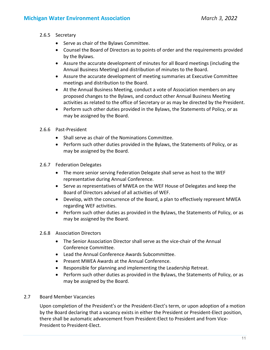# 2.6.5 Secretary

- Serve as chair of the Bylaws Committee.
- Counsel the Board of Directors as to points of order and the requirements provided by the Bylaws.
- Assure the accurate development of minutes for all Board meetings (including the Annual Business Meeting) and distribution of minutes to the Board.
- Assure the accurate development of meeting summaries at Executive Committee meetings and distribution to the Board.
- At the Annual Business Meeting, conduct a vote of Association members on any proposed changes to the Bylaws, and conduct other Annual Business Meeting activities as related to the office of Secretary or as may be directed by the President.
- Perform such other duties provided in the Bylaws, the Statements of Policy, or as may be assigned by the Board.
- 2.6.6 Past‐President
	- Shall serve as chair of the Nominations Committee.
	- Perform such other duties provided in the Bylaws, the Statements of Policy, or as may be assigned by the Board.
- 2.6.7 Federation Delegates
	- The more senior serving Federation Delegate shall serve as host to the WEF representative during Annual Conference.
	- Serve as representatives of MWEA on the WEF House of Delegates and keep the Board of Directors advised of all activities of WEF.
	- Develop, with the concurrence of the Board, a plan to effectively represent MWEA regarding WEF activities.
	- Perform such other duties as provided in the Bylaws, the Statements of Policy, or as may be assigned by the Board.
- 2.6.8 Association Directors
	- The Senior Association Director shall serve as the vice-chair of the Annual Conference Committee.
	- Lead the Annual Conference Awards Subcommittee.
	- Present MWEA Awards at the Annual Conference.
	- Responsible for planning and implementing the Leadership Retreat.
	- Perform such other duties as provided in the Bylaws, the Statements of Policy, or as may be assigned by the Board.

# 2.7 Board Member Vacancies

Upon completion of the President's or the President‐Elect's term, or upon adoption of a motion by the Board declaring that a vacancy exists in either the President or President‐Elect position, there shall be automatic advancement from President‐Elect to President and from Vice‐ President to President‐Elect.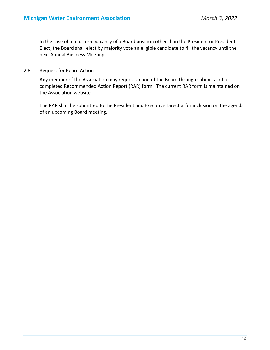In the case of a mid‐term vacancy of a Board position other than the President or President‐ Elect, the Board shall elect by majority vote an eligible candidate to fill the vacancy until the next Annual Business Meeting.

2.8 Request for Board Action

Any member of the Association may request action of the Board through submittal of a completed Recommended Action Report (RAR) form. The current RAR form is maintained on the Association website.

The RAR shall be submitted to the President and Executive Director for inclusion on the agenda of an upcoming Board meeting.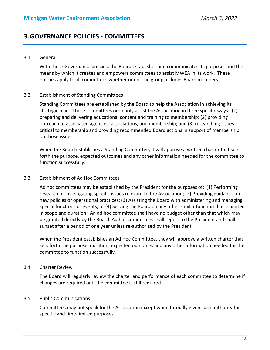# **3.GOVERNANCE POLICIES ‐ COMMITTEES**

#### 3.1 General

With these Governance policies, the Board establishes and communicates its purposes and the means by which it creates and empowers committees to assist MWEA in its work. These policies apply to all committees whether or not the group includes Board members.

#### 3.2 Establishment of Standing Committees

Standing Committees are established by the Board to help the Association in achieving its strategic plan. These committees ordinarily assist the Association in three specific ways: (1) preparing and delivering educational content and training to membership; (2) providing outreach to associated agencies, associations, and membership; and (3) researching issues critical to membership and providing recommended Board actions in support of membership on those issues.

When the Board establishes a Standing Committee, it will approve a written charter that sets forth the purpose, expected outcomes and any other information needed for the committee to function successfully.

#### 3.3 Establishment of Ad Hoc Committees

Ad hoc committees may be established by the President for the purposes of: (1) Performing research or investigating specific issues relevant to the Association; (2) Providing guidance on new policies or operational practices; (3) Assisting the Board with administering and managing special functions or events; or (4) Serving the Board on any other similar function that is limited in scope and duration. An ad hoc committee shall have no budget other than that which may be granted directly by the Board. Ad hoc committees shall report to the President and shall sunset after a period of one year unless re-authorized by the President.

When the President establishes an Ad Hoc Committee, they will approve a written charter that sets forth the purpose, duration, expected outcomes and any other information needed for the committee to function successfully.

#### 3.4 Charter Review

The Board will regularly review the charter and performance of each committee to determine if changes are required or if the committee is still required.

#### 3.5 Public Communications

Committees may not speak for the Association except when formally given such authority for specific and time‐limited purposes.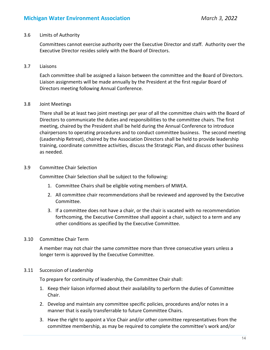# **Michigan Water Environment Association** *March 3, 2022*

#### 3.6 Limits of Authority

Committees cannot exercise authority over the Executive Director and staff. Authority over the Executive Director resides solely with the Board of Directors.

#### 3.7 Liaisons

Each committee shall be assigned a liaison between the committee and the Board of Directors. Liaison assignments will be made annually by the President at the first regular Board of Directors meeting following Annual Conference.

#### 3.8 Joint Meetings

There shall be at least two joint meetings per year of all the committee chairs with the Board of Directors to communicate the duties and responsibilities to the committee chairs. The first meeting, chaired by the President shall be held during the Annual Conference to introduce chairpersons to operating procedures and to conduct committee business. The second meeting (Leadership Retreat), chaired by the Association Directors shall be held to provide leadership training, coordinate committee activities, discuss the Strategic Plan, and discuss other business as needed.

#### 3.9 Committee Chair Selection

Committee Chair Selection shall be subject to the following:

- 1. Committee Chairs shall be eligible voting members of MWEA.
- 2. All committee chair recommendations shall be reviewed and approved by the Executive Committee.
- 3. If a committee does not have a chair, or the chair is vacated with no recommendation forthcoming, the Executive Committee shall appoint a chair, subject to a term and any other conditions as specified by the Executive Committee.

# 3.10 Committee Chair Term

A member may not chair the same committee more than three consecutive years unless a longer term is approved by the Executive Committee.

#### 3.11 Succession of Leadership

To prepare for continuity of leadership, the Committee Chair shall:

- 1. Keep their liaison informed about their availability to perform the duties of Committee Chair.
- 2. Develop and maintain any committee specific policies, procedures and/or notes in a manner that is easily transferrable to future Committee Chairs.
- 3. Have the right to appoint a Vice Chair and/or other committee representatives from the committee membership, as may be required to complete the committee's work and/or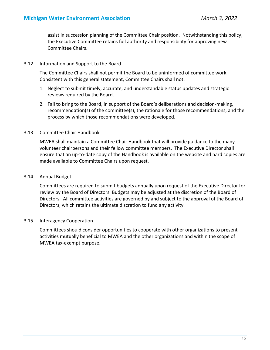assist in succession planning of the Committee Chair position. Notwithstanding this policy, the Executive Committee retains full authority and responsibility for approving new Committee Chairs.

#### 3.12 Information and Support to the Board

The Committee Chairs shall not permit the Board to be uninformed of committee work. Consistent with this general statement, Committee Chairs shall not:

- 1. Neglect to submit timely, accurate, and understandable status updates and strategic reviews required by the Board.
- 2. Fail to bring to the Board, in support of the Board's deliberations and decision‐making, recommendation(s) of the committee(s), the rationale for those recommendations, and the process by which those recommendations were developed.

# 3.13 Committee Chair Handbook

MWEA shall maintain a Committee Chair Handbook that will provide guidance to the many volunteer chairpersons and their fellow committee members. The Executive Director shall ensure that an up-to-date copy of the Handbook is available on the website and hard copies are made available to Committee Chairs upon request.

#### 3.14 Annual Budget

Committees are required to submit budgets annually upon request of the Executive Director for review by the Board of Directors. Budgets may be adjusted at the discretion of the Board of Directors. All committee activities are governed by and subject to the approval of the Board of Directors, which retains the ultimate discretion to fund any activity.

# 3.15 Interagency Cooperation

Committees should consider opportunities to cooperate with other organizations to present activities mutually beneficial to MWEA and the other organizations and within the scope of MWEA tax‐exempt purpose.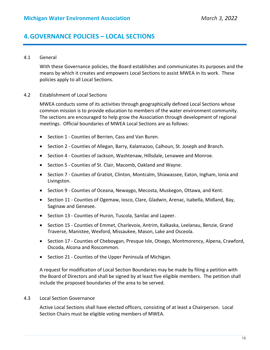# **4.GOVERNANCE POLICIES – LOCAL SECTIONS**

#### 4.1 General

With these Governance policies, the Board establishes and communicates its purposes and the means by which it creates and empowers Local Sections to assist MWEA in its work. These policies apply to all Local Sections.

#### 4.2 Establishment of Local Sections

MWEA conducts some of its activities through geographically defined Local Sections whose common mission is to provide education to members of the water environment community. The sections are encouraged to help grow the Association through development of regional meetings. Official boundaries of MWEA Local Sections are as follows:

- Section 1 Counties of Berrien, Cass and Van Buren.
- Section 2 Counties of Allegan, Barry, Kalamazoo, Calhoun, St. Joseph and Branch.
- Section 4 Counties of Jackson, Washtenaw, Hillsdale, Lenawee and Monroe.
- Section 5 Counties of St. Clair, Macomb, Oakland and Wayne.
- Section 7 Counties of Gratiot, Clinton, Montcalm, Shiawassee, Eaton, Ingham, Ionia and Livingston.
- Section 9 Counties of Oceana, Newaygo, Mecosta, Muskegon, Ottawa, and Kent.
- Section 11 Counties of Ogemaw, Iosco, Clare, Gladwin, Arenac, Isabella, Midland, Bay, Saginaw and Genesee.
- Section 13 Counties of Huron, Tuscola, Sanilac and Lapeer.
- Section 15 Counties of Emmet, Charlevoix, Antrim, Kalkaska, Leelanau, Benzie, Grand Traverse, Manistee, Wexford, Missaukee, Mason, Lake and Osceola.
- Section 17 Counties of Cheboygan, Presque Isle, Otsego, Montmorency, Alpena, Crawford, Oscoda, Alcona and Roscommon.
- Section 21 Counties of the Upper Peninsula of Michigan.

A request for modification of Local Section Boundaries may be made by filing a petition with the Board of Directors and shall be signed by at least five eligible members. The petition shall include the proposed boundaries of the area to be served.

#### 4.3 Local Section Governance

Active Local Sections shall have elected officers, consisting of at least a Chairperson. Local Section Chairs must be eligible voting members of MWEA.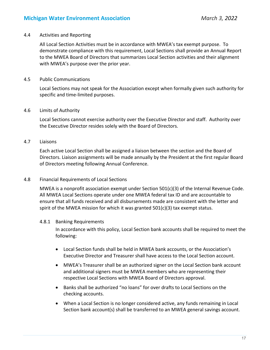#### 4.4 Activities and Reporting

All Local Section Activities must be in accordance with MWEA's tax exempt purpose. To demonstrate compliance with this requirement, Local Sections shall provide an Annual Report to the MWEA Board of Directors that summarizes Local Section activities and their alignment with MWEA's purpose over the prior year.

#### 4.5 Public Communications

Local Sections may not speak for the Association except when formally given such authority for specific and time‐limited purposes.

#### 4.6 Limits of Authority

Local Sections cannot exercise authority over the Executive Director and staff. Authority over the Executive Director resides solely with the Board of Directors.

# 4.7 Liaisons

Each active Local Section shall be assigned a liaison between the section and the Board of Directors. Liaison assignments will be made annually by the President at the first regular Board of Directors meeting following Annual Conference.

#### 4.8 Financial Requirements of Local Sections

MWEA is a nonprofit association exempt under Section 501(c)(3) of the Internal Revenue Code. All MWEA Local Sections operate under one MWEA federal tax ID and are accountable to ensure that all funds received and all disbursements made are consistent with the letter and spirit of the MWEA mission for which it was granted  $501(c)(3)$  tax exempt status.

#### 4.8.1 Banking Requirements

In accordance with this policy, Local Section bank accounts shall be required to meet the following:

- Local Section funds shall be held in MWEA bank accounts, or the Association's Executive Director and Treasurer shall have access to the Local Section account.
- MWEA's Treasurer shall be an authorized signer on the Local Section bank account and additional signers must be MWEA members who are representing their respective Local Sections with MWEA Board of Directors approval.
- Banks shall be authorized "no loans" for over drafts to Local Sections on the checking accounts.
- When a Local Section is no longer considered active, any funds remaining in Local Section bank account(s) shall be transferred to an MWEA general savings account.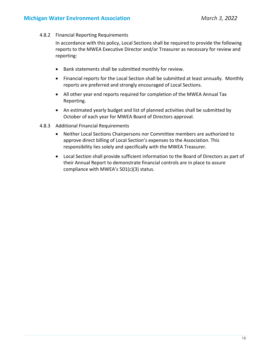4.8.2 Financial Reporting Requirements

In accordance with this policy, Local Sections shall be required to provide the following reports to the MWEA Executive Director and/or Treasurer as necessary for review and reporting:

- Bank statements shall be submitted monthly for review.
- Financial reports for the Local Section shall be submitted at least annually. Monthly reports are preferred and strongly encouraged of Local Sections.
- All other year end reports required for completion of the MWEA Annual Tax Reporting.
- An estimated yearly budget and list of planned activities shall be submitted by October of each year for MWEA Board of Directors approval.
- 4.8.3 Additional Financial Requirements
	- Neither Local Sections Chairpersons nor Committee members are authorized to approve direct billing of Local Section's expenses to the Association. This responsibility lies solely and specifically with the MWEA Treasurer.
	- Local Section shall provide sufficient information to the Board of Directors as part of their Annual Report to demonstrate financial controls are in place to assure compliance with MWEA's 501(c)(3) status.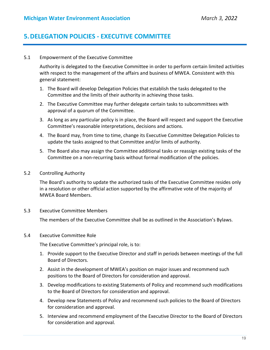# **5.DELEGATION POLICIES ‐ EXECUTIVE COMMITTEE**

#### 5.1 Empowerment of the Executive Committee

Authority is delegated to the Executive Committee in order to perform certain limited activities with respect to the management of the affairs and business of MWEA. Consistent with this general statement:

- 1. The Board will develop Delegation Policies that establish the tasks delegated to the Committee and the limits of their authority in achieving those tasks.
- 2. The Executive Committee may further delegate certain tasks to subcommittees with approval of a quorum of the Committee.
- 3. As long as any particular policy is in place, the Board will respect and support the Executive Committee's reasonable interpretations, decisions and actions.
- 4. The Board may, from time to time, change its Executive Committee Delegation Policies to update the tasks assigned to that Committee and/or limits of authority.
- 5. The Board also may assign the Committee additional tasks or reassign existing tasks of the Committee on a non‐recurring basis without formal modification of the policies.
- 5.2 Controlling Authority

The Board's authority to update the authorized tasks of the Executive Committee resides only in a resolution or other official action supported by the affirmative vote of the majority of MWEA Board Members.

5.3 Executive Committee Members

The members of the Executive Committee shall be as outlined in the Association's Bylaws.

#### 5.4 Executive Committee Role

The Executive Committee's principal role, is to:

- 1. Provide support to the Executive Director and staff in periods between meetings of the full Board of Directors.
- 2. Assist in the development of MWEA's position on major issues and recommend such positions to the Board of Directors for consideration and approval.
- 3. Develop modifications to existing Statements of Policy and recommend such modifications to the Board of Directors for consideration and approval.
- 4. Develop new Statements of Policy and recommend such policies to the Board of Directors for consideration and approval.
- 5. Interview and recommend employment of the Executive Director to the Board of Directors for consideration and approval.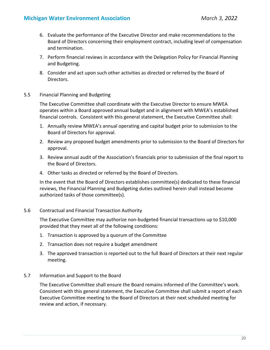- 6. Evaluate the performance of the Executive Director and make recommendations to the Board of Directors concerning their employment contract, including level of compensation and termination.
- 7. Perform financial reviews in accordance with the Delegation Policy for Financial Planning and Budgeting.
- 8. Consider and act upon such other activities as directed or referred by the Board of Directors.
- 5.5 Financial Planning and Budgeting

The Executive Committee shall coordinate with the Executive Director to ensure MWEA operates within a Board approved annual budget and in alignment with MWEA's established financial controls. Consistent with this general statement, the Executive Committee shall:

- 1. Annually review MWEA's annual operating and capital budget prior to submission to the Board of Directors for approval.
- 2. Review any proposed budget amendments prior to submission to the Board of Directors for approval.
- 3. Review annual audit of the Association's financials prior to submission of the final report to the Board of Directors.
- 4. Other tasks as directed or referred by the Board of Directors.

In the event that the Board of Directors establishes committee(s) dedicated to these financial reviews, the Financial Planning and Budgeting duties outlined herein shall instead become authorized tasks of those committee(s).

5.6 Contractual and Financial Transaction Authority

The Executive Committee may authorize non‐budgeted financial transactions up to \$10,000 provided that they meet all of the following conditions:

- 1. Transaction is approved by a quorum of the Committee
- 2. Transaction does not require a budget amendment
- 3. The approved transaction is reported out to the full Board of Directors at their next regular meeting.
- 5.7 Information and Support to the Board

The Executive Committee shall ensure the Board remains informed of the Committee's work. Consistent with this general statement, the Executive Committee shall submit a report of each Executive Committee meeting to the Board of Directors at their next scheduled meeting for review and action, if necessary.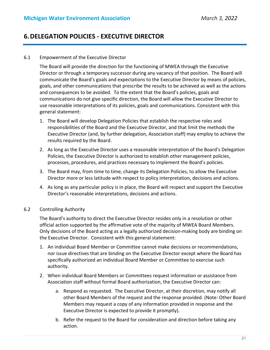# **6.DELEGATION POLICIES ‐ EXECUTIVE DIRECTOR**

#### 6.1 Empowerment of the Executive Director

The Board will provide the direction for the functioning of MWEA through the Executive Director or through a temporary successor during any vacancy of that position. The Board will communicate the Board's goals and expectations to the Executive Director by means of policies, goals, and other communications that prescribe the results to be achieved as well as the actions and consequences to be avoided. To the extent that the Board's policies, goals and communications do not give specific direction, the Board will allow the Executive Director to use reasonable interpretations of its policies, goals and communications. Consistent with this general statement:

- 1. The Board will develop Delegation Policies that establish the respective roles and responsibilities of the Board and the Executive Director, and that limit the methods the Executive Director (and, by further delegation, Association staff) may employ to achieve the results required by the Board.
- 2. As long as the Executive Director uses a reasonable interpretation of the Board's Delegation Policies, the Executive Director is authorized to establish other management policies, processes, procedures, and practices necessary to implement the Board's policies.
- 3. The Board may, from time to time, change its Delegation Policies, to allow the Executive Director more or less latitude with respect to policy interpretation, decisions and actions.
- 4. As long as any particular policy is in place, the Board will respect and support the Executive Director's reasonable interpretations, decisions and actions.

#### 6.2 Controlling Authority

The Board's authority to direct the Executive Director resides only in a resolution or other official action supported by the affirmative vote of the majority of MWEA Board Members. Only decisions of the Board acting as a legally authorized decision‐making body are binding on the Executive Director. Consistent with this general statement:

- 1. An individual Board Member or Committee cannot make decisions or recommendations, nor issue directives that are binding on the Executive Director except where the Board has specifically authorized an individual Board Member or Committee to exercise such authority.
- 2. When individual Board Members or Committees request information or assistance from Association staff without formal Board authorization, the Executive Director can:
	- a. Respond as requested. The Executive Director, at their discretion, may notify all other Board Members of the request and the response provided. (Note: Other Board Members may request a copy of any information provided in response and the Executive Director is expected to provide it promptly).
	- b. Refer the request to the Board for consideration and direction before taking any action.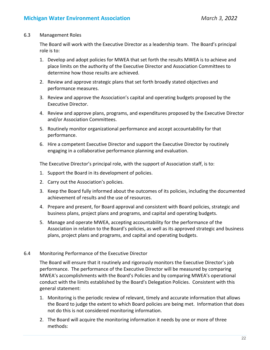#### 6.3 Management Roles

The Board will work with the Executive Director as a leadership team. The Board's principal role is to:

- 1. Develop and adopt policies for MWEA that set forth the results MWEA is to achieve and place limits on the authority of the Executive Director and Association Committees to determine how those results are achieved.
- 2. Review and approve strategic plans that set forth broadly stated objectives and performance measures.
- 3. Review and approve the Association's capital and operating budgets proposed by the Executive Director.
- 4. Review and approve plans, programs, and expenditures proposed by the Executive Director and/or Association Committees.
- 5. Routinely monitor organizational performance and accept accountability for that performance.
- 6. Hire a competent Executive Director and support the Executive Director by routinely engaging in a collaborative performance planning and evaluation.

The Executive Director's principal role, with the support of Association staff, is to:

- 1. Support the Board in its development of policies.
- 2. Carry out the Association's policies.
- 3. Keep the Board fully informed about the outcomes of its policies, including the documented achievement of results and the use of resources.
- 4. Prepare and present, for Board approval and consistent with Board policies, strategic and business plans, project plans and programs, and capital and operating budgets.
- 5. Manage and operate MWEA, accepting accountability for the performance of the Association in relation to the Board's policies, as well as its approved strategic and business plans, project plans and programs, and capital and operating budgets.

#### 6.4 Monitoring Performance of the Executive Director

The Board will ensure that it routinely and rigorously monitors the Executive Director's job performance. The performance of the Executive Director will be measured by comparing MWEA's accomplishments with the Board's Policies and by comparing MWEA's operational conduct with the limits established by the Board's Delegation Policies. Consistent with this general statement:

- 1. Monitoring is the periodic review of relevant, timely and accurate information that allows the Board to judge the extent to which Board policies are being met. Information that does not do this is not considered monitoring information.
- 2. The Board will acquire the monitoring information it needs by one or more of three methods: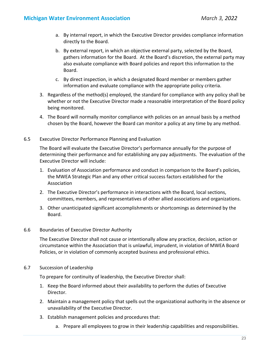- a. By internal report, in which the Executive Director provides compliance information directly to the Board.
- b. By external report, in which an objective external party, selected by the Board, gathers information for the Board. At the Board's discretion, the external party may also evaluate compliance with Board policies and report this information to the Board.
- c. By direct inspection, in which a designated Board member or members gather information and evaluate compliance with the appropriate policy criteria.
- 3. Regardless of the method(s) employed, the standard for compliance with any policy shall be whether or not the Executive Director made a reasonable interpretation of the Board policy being monitored.
- 4. The Board will normally monitor compliance with policies on an annual basis by a method chosen by the Board, however the Board can monitor a policy at any time by any method.
- 6.5 Executive Director Performance Planning and Evaluation

The Board will evaluate the Executive Director's performance annually for the purpose of determining their performance and for establishing any pay adjustments. The evaluation of the Executive Director will include:

- 1. Evaluation of Association performance and conduct in comparison to the Board's policies, the MWEA Strategic Plan and any other critical success factors established for the Association
- 2. The Executive Director's performance in interactions with the Board, local sections, committees, members, and representatives of other allied associations and organizations.
- 3. Other unanticipated significant accomplishments or shortcomings as determined by the Board.
- 6.6 Boundaries of Executive Director Authority

The Executive Director shall not cause or intentionally allow any practice, decision, action or circumstance within the Association that is unlawful, imprudent, in violation of MWEA Board Policies, or in violation of commonly accepted business and professional ethics.

6.7 Succession of Leadership

To prepare for continuity of leadership, the Executive Director shall:

- 1. Keep the Board informed about their availability to perform the duties of Executive Director.
- 2. Maintain a management policy that spells out the organizational authority in the absence or unavailability of the Executive Director.
- 3. Establish management policies and procedures that:
	- a. Prepare all employees to grow in their leadership capabilities and responsibilities.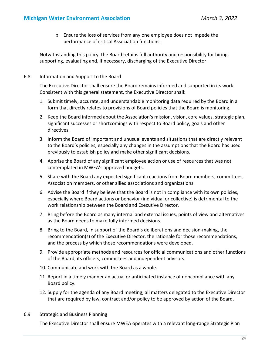b. Ensure the loss of services from any one employee does not impede the performance of critical Association functions.

Notwithstanding this policy, the Board retains full authority and responsibility for hiring, supporting, evaluating and, if necessary, discharging of the Executive Director.

6.8 Information and Support to the Board

The Executive Director shall ensure the Board remains informed and supported in its work. Consistent with this general statement, the Executive Director shall:

- 1. Submit timely, accurate, and understandable monitoring data required by the Board in a form that directly relates to provisions of Board policies that the Board is monitoring.
- 2. Keep the Board informed about the Association's mission, vision, core values, strategic plan, significant successes or shortcomings with respect to Board policy, goals and other directives.
- 3. Inform the Board of important and unusual events and situations that are directly relevant to the Board's policies, especially any changes in the assumptions that the Board has used previously to establish policy and make other significant decisions.
- 4. Apprise the Board of any significant employee action or use of resources that was not contemplated in MWEA's approved budgets.
- 5. Share with the Board any expected significant reactions from Board members, committees, Association members, or other allied associations and organizations.
- 6. Advise the Board if they believe that the Board is not in compliance with its own policies, especially where Board actions or behavior (individual or collective) is detrimental to the work relationship between the Board and Executive Director.
- 7. Bring before the Board as many internal and external issues, points of view and alternatives as the Board needs to make fully informed decisions.
- 8. Bring to the Board, in support of the Board's deliberations and decision‐making, the recommendation(s) of the Executive Director, the rationale for those recommendations, and the process by which those recommendations were developed.
- 9. Provide appropriate methods and resources for official communications and other functions of the Board, its officers, committees and independent advisors.
- 10. Communicate and work with the Board as a whole.
- 11. Report in a timely manner an actual or anticipated instance of noncompliance with any Board policy.
- 12. Supply for the agenda of any Board meeting, all matters delegated to the Executive Director that are required by law, contract and/or policy to be approved by action of the Board.
- 6.9 Strategic and Business Planning

The Executive Director shall ensure MWEA operates with a relevant long-range Strategic Plan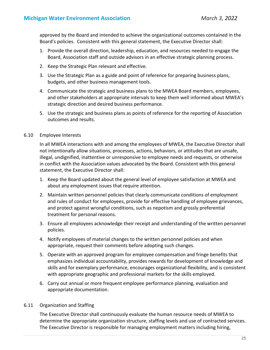approved by the Board and intended to achieve the organizational outcomes contained in the Board's policies. Consistent with this general statement, the Executive Director shall:

- 1. Provide the overall direction, leadership, education, and resources needed to engage the Board, Association staff and outside advisors in an effective strategic planning process.
- 2. Keep the Strategic Plan relevant and effective.
- 3. Use the Strategic Plan as a guide and point of reference for preparing business plans, budgets, and other business management tools.
- 4. Communicate the strategic and business plans to the MWEA Board members, employees, and other stakeholders at appropriate intervals to keep them well informed about MWEA's strategic direction and desired business performance.
- 5. Use the strategic and business plans as points of reference for the reporting of Association outcomes and results.
- 6.10 Employee Interests

In all MWEA interactions with and among the employees of MWEA, the Executive Director shall not intentionally allow situations, processes, actions, behaviors, or attitudes that are unsafe, illegal, undignified, inattentive or unresponsive to employee needs and requests, or otherwise in conflict with the Association values advocated by the Board. Consistent with this general statement, the Executive Director shall:

- 1. Keep the Board updated about the general level of employee satisfaction at MWEA and about any employment issues that require attention.
- 2. Maintain written personnel policies that clearly communicate conditions of employment and rules of conduct for employees, provide for effective handling of employee grievances, and protect against wrongful conditions, such as nepotism and grossly preferential treatment for personal reasons.
- 3. Ensure all employees acknowledge their receipt and understanding of the written personnel policies.
- 4. Notify employees of material changes to the written personnel policies and when appropriate, request their comments before adopting such changes.
- 5. Operate with an approved program for employee compensation and fringe benefits that emphasizes individual accountability, provides rewards for development of knowledge and skills and for exemplary performance, encourages organizational flexibility, and is consistent with appropriate geographic and professional markets for the skills employed.
- 6. Carry out annual or more frequent employee performance planning, evaluation and appropriate documentation.
- 6.11 Organization and Staffing

The Executive Director shall continuously evaluate the human resource needs of MWEA to determine the appropriate organization structure, staffing levels and use of contracted services. The Executive Director is responsible for managing employment matters including hiring,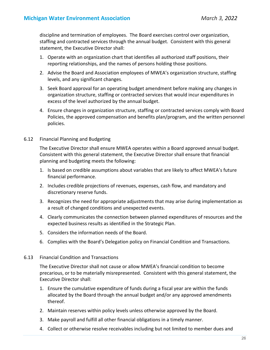discipline and termination of employees. The Board exercises control over organization, staffing and contracted services through the annual budget. Consistent with this general statement, the Executive Director shall:

- 1. Operate with an organization chart that identifies all authorized staff positions, their reporting relationships, and the names of persons holding those positions.
- 2. Advise the Board and Association employees of MWEA's organization structure, staffing levels, and any significant changes.
- 3. Seek Board approval for an operating budget amendment before making any changes in organization structure, staffing or contracted services that would incur expenditures in excess of the level authorized by the annual budget.
- 4. Ensure changes in organization structure, staffing or contracted services comply with Board Policies, the approved compensation and benefits plan/program, and the written personnel policies.
- 6.12 Financial Planning and Budgeting

The Executive Director shall ensure MWEA operates within a Board approved annual budget. Consistent with this general statement, the Executive Director shall ensure that financial planning and budgeting meets the following:

- 1. Is based on credible assumptions about variables that are likely to affect MWEA's future financial performance.
- 2. Includes credible projections of revenues, expenses, cash flow, and mandatory and discretionary reserve funds.
- 3. Recognizes the need for appropriate adjustments that may arise during implementation as a result of changed conditions and unexpected events.
- 4. Clearly communicates the connection between planned expenditures of resources and the expected business results as identified in the Strategic Plan.
- 5. Considers the information needs of the Board.
- 6. Complies with the Board's Delegation policy on Financial Condition and Transactions.
- 6.13 Financial Condition and Transactions

The Executive Director shall not cause or allow MWEA's financial condition to become precarious, or to be materially misrepresented. Consistent with this general statement, the Executive Director shall:

- 1. Ensure the cumulative expenditure of funds during a fiscal year are within the funds allocated by the Board through the annual budget and/or any approved amendments thereof.
- 2. Maintain reserves within policy levels unless otherwise approved by the Board.
- 3. Make payroll and fulfill all other financial obligations in a timely manner.
- 4. Collect or otherwise resolve receivables including but not limited to member dues and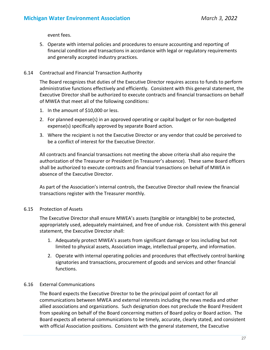event fees.

5. Operate with internal policies and procedures to ensure accounting and reporting of financial condition and transactions in accordance with legal or regulatory requirements and generally accepted industry practices.

# 6.14 Contractual and Financial Transaction Authority

The Board recognizes that duties of the Executive Director requires access to funds to perform administrative functions effectively and efficiently. Consistent with this general statement, the Executive Director shall be authorized to execute contracts and financial transactions on behalf of MWEA that meet all of the following conditions:

- 1. In the amount of \$10,000 or less.
- 2. For planned expense(s) in an approved operating or capital budget or for non‐budgeted expense(s) specifically approved by separate Board action.
- 3. Where the recipient is not the Executive Director or any vendor that could be perceived to be a conflict of interest for the Executive Director.

All contracts and financial transactions not meeting the above criteria shall also require the authorization of the Treasurer or President (in Treasurer's absence). These same Board officers shall be authorized to execute contracts and financial transactions on behalf of MWEA in absence of the Executive Director.

As part of the Association's internal controls, the Executive Director shall review the financial transactions register with the Treasurer monthly.

# 6.15 Protection of Assets

The Executive Director shall ensure MWEA's assets (tangible or intangible) to be protected, appropriately used, adequately maintained, and free of undue risk. Consistent with this general statement, the Executive Director shall:

- 1. Adequately protect MWEA's assets from significant damage or loss including but not limited to physical assets, Association image, intellectual property, and information.
- 2. Operate with internal operating policies and procedures that effectively control banking signatories and transactions, procurement of goods and services and other financial functions.

# 6.16 External Communications

The Board expects the Executive Director to be the principal point of contact for all communications between MWEA and external interests including the news media and other allied associations and organizations. Such designation does not preclude the Board President from speaking on behalf of the Board concerning matters of Board policy or Board action. The Board expects all external communications to be timely, accurate, clearly stated, and consistent with official Association positions. Consistent with the general statement, the Executive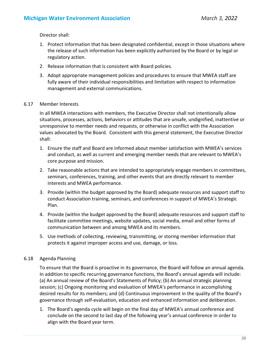Director shall:

- 1. Protect information that has been designated confidential, except in those situations where the release of such information has been explicitly authorized by the Board or by legal or regulatory action.
- 2. Release information that is consistent with Board policies.
- 3. Adopt appropriate management policies and procedures to ensure that MWEA staff are fully aware of their individual responsibilities and limitation with respect to information management and external communications.

#### 6.17 Member Interests

In all MWEA interactions with members, the Executive Director shall not intentionally allow situations, processes, actions, behaviors or attitudes that are unsafe, undignified, inattentive or unresponsive to member needs and requests, or otherwise in conflict with the Association values advocated by the Board. Consistent with this general statement, the Executive Director shall:

- 1. Ensure the staff and Board are informed about member satisfaction with MWEA's services and conduct, as well as current and emerging member needs that are relevant to MWEA's core purpose and mission.
- 2. Take reasonable actions that are intended to appropriately engage members in committees, seminars, conferences, training, and other events that are directly relevant to member interests and MWEA performance.
- 3. Provide (within the budget approved by the Board) adequate resources and support staff to conduct Association training, seminars, and conferences in support of MWEA's Strategic Plan.
- 4. Provide (within the budget approved by the Board) adequate resources and support staff to facilitate committee meetings, website updates, social media, email and other forms of communication between and among MWEA and its members.
- 5. Use methods of collecting, reviewing, transmitting, or storing member information that protects it against improper access and use, damage, or loss.

# 6.18 Agenda Planning

To ensure that the Board is proactive in its governance, the Board will follow an annual agenda. In addition to specific recurring governance functions, the Board's annual agenda will include: (a) An annual review of the Board's Statements of Policy; (b) An annual strategic planning session; (c) Ongoing monitoring and evaluation of MWEA's performance in accomplishing desired results for its members; and (d) Continuous improvement in the quality of the Board's governance through self‐evaluation, education and enhanced information and deliberation.

1. The Board's agenda cycle will begin on the final day of MWEA's annual conference and conclude on the second to last day of the following year's annual conference in order to align with the Board year term.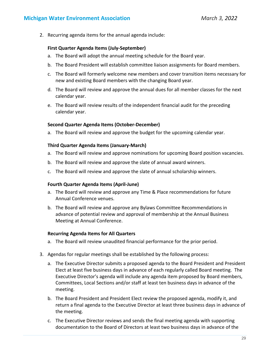2. Recurring agenda items for the annual agenda include:

#### **First Quarter Agenda Items (July‐September)**

- a. The Board will adopt the annual meeting schedule for the Board year.
- b. The Board President will establish committee liaison assignments for Board members.
- c. The Board will formerly welcome new members and cover transition items necessary for new and existing Board members with the changing Board year.
- d. The Board will review and approve the annual dues for all member classes for the next calendar year.
- e. The Board will review results of the independent financial audit for the preceding calendar year.

#### **Second Quarter Agenda Items (October‐December)**

a. The Board will review and approve the budget for the upcoming calendar year.

#### **Third Quarter Agenda Items (January‐March)**

- a. The Board will review and approve nominations for upcoming Board position vacancies.
- b. The Board will review and approve the slate of annual award winners.
- c. The Board will review and approve the slate of annual scholarship winners.

#### **Fourth Quarter Agenda Items (April‐June)**

- a. The Board will review and approve any Time & Place recommendations for future Annual Conference venues.
- b. The Board will review and approve any Bylaws Committee Recommendations in advance of potential review and approval of membership at the Annual Business Meeting at Annual Conference.

#### **Recurring Agenda Items for All Quarters**

- a. The Board will review unaudited financial performance for the prior period.
- 3. Agendas for regular meetings shall be established by the following process:
	- a. The Executive Director submits a proposed agenda to the Board President and President Elect at least five business days in advance of each regularly called Board meeting. The Executive Director's agenda will include any agenda item proposed by Board members, Committees, Local Sections and/or staff at least ten business days in advance of the meeting.
	- b. The Board President and President Elect review the proposed agenda, modify it, and return a final agenda to the Executive Director at least three business days in advance of the meeting.
	- c. The Executive Director reviews and sends the final meeting agenda with supporting documentation to the Board of Directors at least two business days in advance of the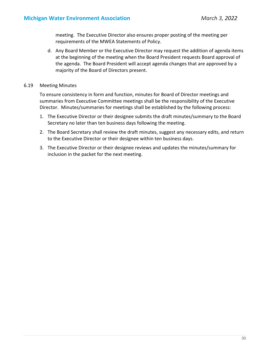meeting. The Executive Director also ensures proper posting of the meeting per requirements of the MWEA Statements of Policy.

- d. Any Board Member or the Executive Director may request the addition of agenda items at the beginning of the meeting when the Board President requests Board approval of the agenda. The Board President will accept agenda changes that are approved by a majority of the Board of Directors present.
- 6.19 Meeting Minutes

To ensure consistency in form and function, minutes for Board of Director meetings and summaries from Executive Committee meetings shall be the responsibility of the Executive Director. Minutes/summaries for meetings shall be established by the following process:

- 1. The Executive Director or their designee submits the draft minutes/summary to the Board Secretary no later than ten business days following the meeting.
- 2. The Board Secretary shall review the draft minutes, suggest any necessary edits, and return to the Executive Director or their designee within ten business days.
- 3. The Executive Director or their designee reviews and updates the minutes/summary for inclusion in the packet for the next meeting.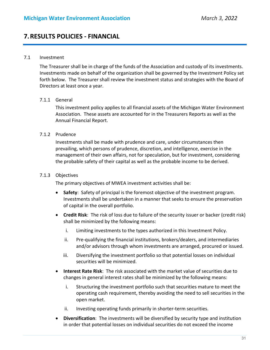# **7.RESULTS POLICIES ‐ FINANCIAL**

#### 7.1 Investment

The Treasurer shall be in charge of the funds of the Association and custody of its investments. Investments made on behalf of the organization shall be governed by the Investment Policy set forth below. The Treasurer shall review the investment status and strategies with the Board of Directors at least once a year.

#### 7.1.1 General

This investment policy applies to all financial assets of the Michigan Water Environment Association. These assets are accounted for in the Treasurers Reports as well as the Annual Financial Report.

#### 7.1.2 Prudence

Investments shall be made with prudence and care, under circumstances then prevailing, which persons of prudence, discretion, and intelligence, exercise in the management of their own affairs, not for speculation, but for investment, considering the probable safety of their capital as well as the probable income to be derived.

### 7.1.3 Objectives

The primary objectives of MWEA investment activities shall be:

- **Safety**: Safety of principal is the foremost objective of the investment program. Investments shall be undertaken in a manner that seeks to ensure the preservation of capital in the overall portfolio.
- **Credit Risk**: The risk of loss due to failure of the security issuer or backer (credit risk) shall be minimized by the following means:
	- i. Limiting investments to the types authorized in this Investment Policy.
	- ii. Pre‐qualifying the financial institutions, brokers/dealers, and intermediaries and/or advisors through whom investments are arranged, procured or issued.
	- iii. Diversifying the investment portfolio so that potential losses on individual securities will be minimized.
- **Interest Rate Risk**: The risk associated with the market value of securities due to changes in general interest rates shall be minimized by the following means:
	- i. Structuring the investment portfolio such that securities mature to meet the operating cash requirement, thereby avoiding the need to sell securities in the open market.
	- ii. Investing operating funds primarily in shorter-term securities.
- **Diversification**: The investments will be diversified by security type and institution in order that potential losses on individual securities do not exceed the income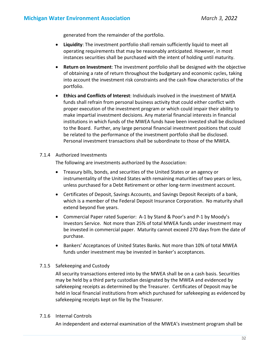generated from the remainder of the portfolio.

- **Liquidity**: The investment portfolio shall remain sufficiently liquid to meet all operating requirements that may be reasonably anticipated. However, in most instances securities shall be purchased with the intent of holding until maturity.
- **Return on Investment**: The investment portfolio shall be designed with the objective of obtaining a rate of return throughout the budgetary and economic cycles, taking into account the investment risk constraints and the cash flow characteristics of the portfolio.
- **Ethics and Conflicts of Interest**: Individuals involved in the investment of MWEA funds shall refrain from personal business activity that could either conflict with proper execution of the investment program or which could impair their ability to make impartial investment decisions. Any material financial interests in financial institutions in which funds of the MWEA funds have been invested shall be disclosed to the Board. Further, any large personal financial investment positions that could be related to the performance of the investment portfolio shall be disclosed. Personal investment transactions shall be subordinate to those of the MWEA.

#### 7.1.4 Authorized Investments

The following are investments authorized by the Association:

- Treasury bills, bonds, and securities of the United States or an agency or instrumentality of the United States with remaining maturities of two years or less, unless purchased for a Debt Retirement or other long‐term investment account.
- Certificates of Deposit, Savings Accounts, and Savings Deposit Receipts of a bank, which is a member of the Federal Deposit Insurance Corporation. No maturity shall extend beyond five years.
- Commercial Paper rated Superior: A‐1 by Stand & Poor's and P‐1 by Moody's Investors Service. Not more than 25% of total MWEA funds under investment may be invested in commercial paper. Maturity cannot exceed 270 days from the date of purchase.
- Bankers' Acceptances of United States Banks. Not more than 10% of total MWEA funds under investment may be invested in banker's acceptances.

#### 7.1.5 Safekeeping and Custody

All security transactions entered into by the MWEA shall be on a cash basis. Securities may be held by a third party custodian designated by the MWEA and evidenced by safekeeping receipts as determined by the Treasurer. Certificates of Deposit may be held in local financial institutions from which purchased for safekeeping as evidenced by safekeeping receipts kept on file by the Treasurer.

#### 7.1.6 Internal Controls

An independent and external examination of the MWEA's investment program shall be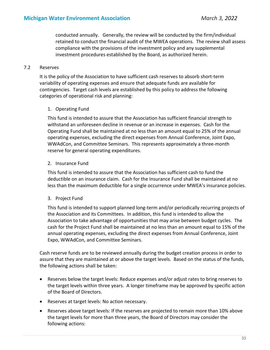conducted annually. Generally, the review will be conducted by the firm/individual retained to conduct the financial audit of the MWEA operations. The review shall assess compliance with the provisions of the investment policy and any supplemental investment procedures established by the Board, as authorized herein.

#### 7.2 Reserves

It is the policy of the Association to have sufficient cash reserves to absorb short‐term variability of operating expenses and ensure that adequate funds are available for contingencies. Target cash levels are established by this policy to address the following categories of operational risk and planning:

#### 1. Operating Fund

This fund is intended to assure that the Association has sufficient financial strength to withstand an unforeseen decline in revenue or an increase in expenses. Cash for the Operating Fund shall be maintained at no less than an amount equal to 25% of the annual operating expenses, excluding the direct expenses from Annual Conference, Joint Expo, WWAdCon, and Committee Seminars. This represents approximately a three‐month reserve for general operating expenditures.

#### 2. Insurance Fund

This fund is intended to assure that the Association has sufficient cash to fund the deductible on an insurance claim. Cash for the Insurance Fund shall be maintained at no less than the maximum deductible for a single occurrence under MWEA's insurance policies.

#### 3. Project Fund

This fund is intended to support planned long‐term and/or periodically recurring projects of the Association and its Committees. In addition, this fund is intended to allow the Association to take advantage of opportunities that may arise between budget cycles. The cash for the Project Fund shall be maintained at no less than an amount equal to 15% of the annual operating expenses, excluding the direct expenses from Annual Conference, Joint Expo, WWAdCon, and Committee Seminars.

Cash reserve funds are to be reviewed annually during the budget creation process in order to assure that they are maintained at or above the target levels. Based on the status of the funds, the following actions shall be taken:

- Reserves below the target levels: Reduce expenses and/or adjust rates to bring reserves to the target levels within three years. A longer timeframe may be approved by specific action of the Board of Directors.
- Reserves at target levels: No action necessary.
- Reserves above target levels: If the reserves are projected to remain more than 10% above the target levels for more than three years, the Board of Directors may consider the following actions: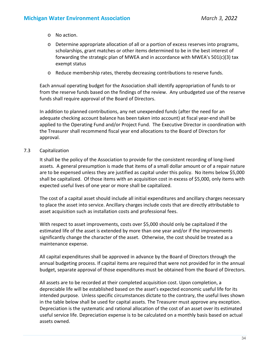- o No action.
- o Determine appropriate allocation of all or a portion of excess reserves into programs, scholarships, grant matches or other items determined to be in the best interest of forwarding the strategic plan of MWEA and in accordance with MWEA's 501(c)(3) tax exempt status
- o Reduce membership rates, thereby decreasing contributions to reserve funds.

Each annual operating budget for the Association shall identify appropriation of funds to or from the reserve funds based on the findings of the review. Any unbudgeted use of the reserve funds shall require approval of the Board of Directors.

In addition to planned contributions, any net unexpended funds (after the need for an adequate checking account balance has been taken into account) at fiscal year‐end shall be applied to the Operating Fund and/or Project Fund. The Executive Director in coordination with the Treasurer shall recommend fiscal year end allocations to the Board of Directors for approval.

# 7.3 Capitalization

It shall be the policy of the Association to provide for the consistent recording of long‐lived assets. A general presumption is made that items of a small dollar amount or of a repair nature are to be expensed unless they are justified as capital under this policy. No items below \$5,000 shall be capitalized. Of those items with an acquisition cost in excess of \$5,000, only items with expected useful lives of one year or more shall be capitalized.

The cost of a capital asset should include all initial expenditures and ancillary charges necessary to place the asset into service. Ancillary charges include costs that are directly attributable to asset acquisition such as installation costs and professional fees.

With respect to asset improvements, costs over \$5,000 should only be capitalized if the estimated life of the asset is extended by more than one year and/or if the improvements significantly change the character of the asset. Otherwise, the cost should be treated as a maintenance expense.

All capital expenditures shall be approved in advance by the Board of Directors through the annual budgeting process. If capital items are required that were not provided for in the annual budget, separate approval of those expenditures must be obtained from the Board of Directors.

All assets are to be recorded at their completed acquisition cost. Upon completion, a depreciable life will be established based on the asset's expected economic useful life for its intended purpose. Unless specific circumstances dictate to the contrary, the useful lives shown in the table below shall be used for capital assets. The Treasurer must approve any exception. Depreciation is the systematic and rational allocation of the cost of an asset over its estimated useful service life. Depreciation expense is to be calculated on a monthly basis based on actual assets owned.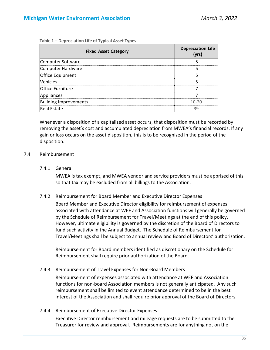| Table 1 – Depreciation Life of Typical Asset Types |  |  |  |  |
|----------------------------------------------------|--|--|--|--|
|----------------------------------------------------|--|--|--|--|

| <b>Fixed Asset Category</b>  | <b>Depreciation Life</b><br>(yrs) |
|------------------------------|-----------------------------------|
| Computer Software            |                                   |
| Computer Hardware            |                                   |
| Office Equipment             |                                   |
| Vehicles                     |                                   |
| <b>Office Furniture</b>      |                                   |
| Appliances                   |                                   |
| <b>Building Improvements</b> | $10 - 20$                         |
| <b>Real Estate</b>           | 39                                |

Whenever a disposition of a capitalized asset occurs, that disposition must be recorded by removing the asset's cost and accumulated depreciation from MWEA's financial records. If any gain or loss occurs on the asset disposition, this is to be recognized in the period of the disposition.

# 7.4 Reimbursement

#### 7.4.1 General

MWEA is tax exempt, and MWEA vendor and service providers must be apprised of this so that tax may be excluded from all billings to the Association.

7.4.2 Reimbursement for Board Member and Executive Director Expenses

Board Member and Executive Director eligibility for reimbursement of expenses associated with attendance at WEF and Association functions will generally be governed by the Schedule of Reimbursement for Travel/Meetings at the end of this policy. However, ultimate eligibility is governed by the discretion of the Board of Directors to fund such activity in the Annual Budget. The Schedule of Reimbursement for Travel/Meetings shall be subject to annual review and Board of Directors' authorization.

Reimbursement for Board members identified as discretionary on the Schedule for Reimbursement shall require prior authorization of the Board.

# 7.4.3 Reimbursement of Travel Expenses for Non‐Board Members

Reimbursement of expenses associated with attendance at WEF and Association functions for non‐board Association members is not generally anticipated. Any such reimbursement shall be limited to event attendance determined to be in the best interest of the Association and shall require prior approval of the Board of Directors.

7.4.4 Reimbursement of Executive Director Expenses

Executive Director reimbursement and mileage requests are to be submitted to the Treasurer for review and approval. Reimbursements are for anything not on the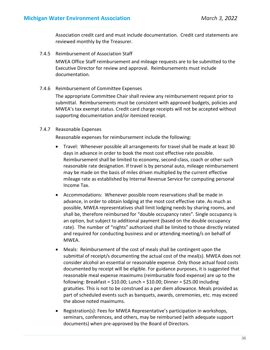Association credit card and must include documentation. Credit card statements are reviewed monthly by the Treasurer.

7.4.5 Reimbursement of Association Staff

MWEA Office Staff reimbursement and mileage requests are to be submitted to the Executive Director for review and approval. Reimbursements must include documentation.

7.4.6 Reimbursement of Committee Expenses

The appropriate Committee Chair shall review any reimbursement request prior to submittal. Reimbursements must be consistent with approved budgets, policies and MWEA's tax exempt status. Credit card charge receipts will not be accepted without supporting documentation and/or itemized receipt.

#### 7.4.7 Reasonable Expenses

Reasonable expenses for reimbursement include the following:

- Travel: Whenever possible all arrangements for travel shall be made at least 30 days in advance in order to book the most cost effective rate possible. Reimbursement shall be limited to economy, second‐class, coach or other such reasonable rate designation. If travel is by personal auto, mileage reimbursement may be made on the basis of miles driven multiplied by the current effective mileage rate as established by Internal Revenue Service for computing personal Income Tax.
- Accommodations: Whenever possible room reservations shall be made in advance, in order to obtain lodging at the most cost effective rate. As much as possible, MWEA representatives shall limit lodging needs by sharing rooms, and shall be, therefore reimbursed for "double occupancy rates". Single occupancy is an option, but subject to additional payment (based on the double occupancy rate). The number of "nights" authorized shall be limited to those directly related and required for conducting business and or attending meeting/s on behalf of MWEA.
- Meals: Reimbursement of the cost of meals shall be contingent upon the submittal of receipt/s documenting the actual cost of the meal(s). MWEA does not consider alcohol an essential or reasonable expense. Only those actual food costs documented by receipt will be eligible. For guidance purposes, it is suggested that reasonable meal expense maximums (reimbursable food expense) are up to the following: Breakfast =  $$10.00$ ; Lunch =  $$10.00$ ; Dinner =  $$25.00$  including gratuities. This is not to be construed as a per diem allowance. Meals provided as part of scheduled events such as banquets, awards, ceremonies, etc. may exceed the above noted maximums.
- Registration(s): Fees for MWEA Representative's participation in workshops, seminars, conferences, and others, may be reimbursed (with adequate support documents) when pre‐approved by the Board of Directors.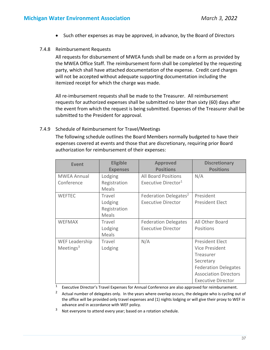• Such other expenses as may be approved, in advance, by the Board of Directors

#### 7.4.8 Reimbursement Requests

All requests for disbursement of MWEA funds shall be made on a form as provided by the MWEA Office Staff. The reimbursement form shall be completed by the requesting party, which shall have attached documentation of the expense. Credit card charges will not be accepted without adequate supporting documentation including the itemized receipt for which the charge was made.

All re‐imbursement requests shall be made to the Treasurer. All reimbursement requests for authorized expenses shall be submitted no later than sixty (60) days after the event from which the request is being submitted. Expenses of the Treasurer shall be submitted to the President for approval.

#### 7.4.9 Schedule of Reimbursement for Travel/Meetings

The following schedule outlines the Board Members normally budgeted to have their expenses covered at events and those that are discretionary, requiring prior Board authorization for reimbursement of their expenses:

| <b>Event</b>          | <b>Eligible</b> | <b>Approved</b>                   | <b>Discretionary</b>         |
|-----------------------|-----------------|-----------------------------------|------------------------------|
|                       | <b>Expenses</b> | <b>Positions</b>                  | <b>Positions</b>             |
| <b>MWEA Annual</b>    | Lodging         | <b>All Board Positions</b>        | N/A                          |
| Conference            | Registration    | Executive Director <sup>1</sup>   |                              |
|                       | Meals           |                                   |                              |
| <b>WEFTEC</b>         | Travel          | Federation Delegates <sup>2</sup> | President                    |
|                       | Lodging         | <b>Executive Director</b>         | <b>President Elect</b>       |
|                       | Registration    |                                   |                              |
|                       | Meals           |                                   |                              |
| <b>WEFMAX</b>         | Travel          | <b>Federation Delegates</b>       | All Other Board              |
|                       | Lodging         | <b>Executive Director</b>         | Positions                    |
|                       | Meals           |                                   |                              |
| <b>WEF Leadership</b> | Travel          | N/A                               | <b>President Elect</b>       |
| Meetings $3$          | Lodging         |                                   | Vice President               |
|                       |                 |                                   | Treasurer                    |
|                       |                 |                                   | Secretary                    |
|                       |                 |                                   | <b>Federation Delegates</b>  |
|                       |                 |                                   | <b>Association Directors</b> |
|                       |                 |                                   | <b>Executive Director</b>    |

<sup>1</sup> Executive Director's Travel Expenses for Annual Conference are also approved for reimbursement.

<sup>2</sup> Actual number of delegates only. In the years where overlap occurs, the delegate who is cycling out of the office will be provided only travel expenses and (1) nights lodging or will give their proxy to WEF in advance and in accordance with WEF policy.

<sup>3</sup> Not everyone to attend every year; based on a rotation schedule.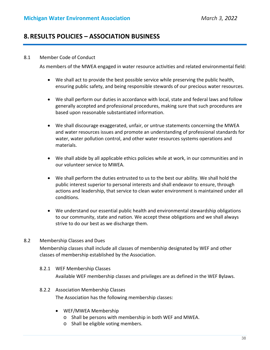# **8.RESULTS POLICIES – ASSOCIATION BUSINESS**

#### 8.1 Member Code of Conduct

As members of the MWEA engaged in water resource activities and related environmental field:

- We shall act to provide the best possible service while preserving the public health, ensuring public safety, and being responsible stewards of our precious water resources.
- We shall perform our duties in accordance with local, state and federal laws and follow generally accepted and professional procedures, making sure that such procedures are based upon reasonable substantiated information.
- We shall discourage exaggerated, unfair, or untrue statements concerning the MWEA and water resources issues and promote an understanding of professional standards for water, water pollution control, and other water resources systems operations and materials.
- We shall abide by all applicable ethics policies while at work, in our communities and in our volunteer service to MWEA.
- We shall perform the duties entrusted to us to the best our ability. We shall hold the public interest superior to personal interests and shall endeavor to ensure, through actions and leadership, that service to clean water environment is maintained under all conditions.
- We understand our essential public health and environmental stewardship obligations to our community, state and nation. We accept these obligations and we shall always strive to do our best as we discharge them.

#### 8.2 Membership Classes and Dues

Membership classes shall include all classes of membership designated by WEF and other classes of membership established by the Association.

- 8.2.1 WEF Membership Classes Available WEF membership classes and privileges are as defined in the WEF Bylaws.
- 8.2.2 Association Membership Classes

The Association has the following membership classes:

- WEF/MWEA Membership
	- o Shall be persons with membership in both WEF and MWEA.
	- o Shall be eligible voting members.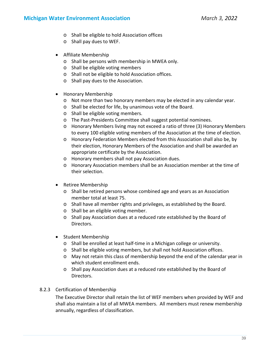# **Michigan Water Environment Association** *March 3, 2022*

- o Shall be eligible to hold Association offices
- o Shall pay dues to WEF.
- Affiliate Membership
	- o Shall be persons with membership in MWEA only.
	- o Shall be eligible voting members
	- o Shall not be eligible to hold Association offices.
	- o Shall pay dues to the Association.
- Honorary Membership
	- o Not more than two honorary members may be elected in any calendar year.
	- o Shall be elected for life, by unanimous vote of the Board.
	- o Shall be eligible voting members.
	- o The Past‐Presidents Committee shall suggest potential nominees.
	- o Honorary Members living may not exceed a ratio of three (3) Honorary Members to every 100 eligible voting members of the Association at the time of election.
	- o Honorary Federation Members elected from this Association shall also be, by their election, Honorary Members of the Association and shall be awarded an appropriate certificate by the Association.
	- o Honorary members shall not pay Association dues.
	- o Honorary Association members shall be an Association member at the time of their selection.
- Retiree Membership
	- o Shall be retired persons whose combined age and years as an Association member total at least 75.
	- o Shall have all member rights and privileges, as established by the Board.
	- o Shall be an eligible voting member.
	- o Shall pay Association dues at a reduced rate established by the Board of Directors.
- Student Membership
	- o Shall be enrolled at least half‐time in a Michigan college or university.
	- o Shall be eligible voting members, but shall not hold Association offices.
	- o May not retain this class of membership beyond the end of the calendar year in which student enrollment ends.
	- o Shall pay Association dues at a reduced rate established by the Board of Directors.

# 8.2.3 Certification of Membership

The Executive Director shall retain the list of WEF members when provided by WEF and shall also maintain a list of all MWEA members. All members must renew membership annually, regardless of classification.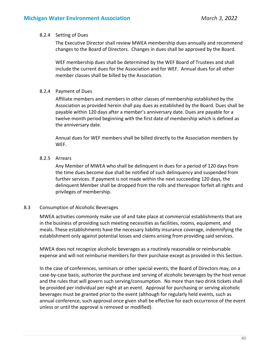#### 8.2.4 Setting of Dues

The Executive Director shall review MWEA membership dues annually and recommend changes to the Board of Directors. Changes in dues shall be approved by the Board.

WEF membership dues shall be determined by the WEF Board of Trustees and shall include the current dues for the Association and for WEF. Annual dues for all other member classes shall be billed by the Association.

# 8.2.4 Payment of Dues

Affiliate members and members in other classes of membership established by the Association as provided herein shall pay dues as established by the Board. Dues shall be payable within 120 days after a member's anniversary date. Dues are payable for a twelve‐month period beginning with the first date of membership which is defined as the anniversary date.

Annual dues for WEF members shall be billed directly to the Association members by WEF.

# 8.2.5 Arrears

Any Member of MWEA who shall be delinquent in dues for a period of 120 days from the time dues become due shall be notified of such delinquency and suspended from further services. If payment is not made within the next succeeding 120 days, the delinquent Member shall be dropped from the rolls and thereupon forfeit all rights and privileges of membership.

# 8.3 Consumption of Alcoholic Beverages

MWEA activities commonly make use of and take place at commercial establishments that are in the business of providing such meeting necessities as facilities, rooms, equipment, and meals. These establishments have the necessary liability insurance coverage, indemnifying the establishment only against potential losses and claims arising from providing said services.

MWEA does not recognize alcoholic beverages as a routinely reasonable or reimbursable expense and will not reimburse members for their purchase except as provided in this Section.

In the case of conferences, seminars or other special events, the Board of Directors may, on a case‐by‐case basis, authorize the purchase and serving of alcoholic beverages by the host venue and the rules that will govern such serving/consumption. No more than two drink tickets shall be provided per individual per night at an event. Approval for purchasing or serving alcoholic beverages must be granted prior to the event (although for regularly held events, such as annual conference, such approval once given shall be effective for each occurrence of the event unless or until the approval is removed or modified).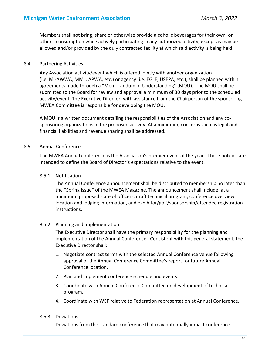Members shall not bring, share or otherwise provide alcoholic beverages for their own, or others, consumption while actively participating in any authorized activity, except as may be allowed and/or provided by the duly contracted facility at which said activity is being held.

#### 8.4 Partnering Activities

Any Association activity/event which is offered jointly with another organization (i.e. MI‐AWWA, MML, APWA, etc.) or agency (i.e. EGLE, USEPA, etc.), shall be planned within agreements made through a "Memorandum of Understanding" (MOU). The MOU shall be submitted to the Board for review and approval a minimum of 30 days prior to the scheduled activity/event. The Executive Director, with assistance from the Chairperson of the sponsoring MWEA Committee is responsible for developing the MOU.

A MOU is a written document detailing the responsibilities of the Association and any co‐ sponsoring organizations in the proposed activity. At a minimum, concerns such as legal and financial liabilities and revenue sharing shall be addressed.

#### 8.5 Annual Conference

The MWEA Annual conference is the Association's premier event of the year. These policies are intended to define the Board of Director's expectations relative to the event.

#### 8.5.1 Notification

The Annual Conference announcement shall be distributed to membership no later than the "Spring Issue" of the MWEA Magazine. The announcement shall include, at a minimum: proposed slate of officers, draft technical program, conference overview, location and lodging information, and exhibitor/golf/sponsorship/attendee registration instructions.

#### 8.5.2 Planning and Implementation

The Executive Director shall have the primary responsibility for the planning and implementation of the Annual Conference. Consistent with this general statement, the Executive Director shall:

- 1. Negotiate contract terms with the selected Annual Conference venue following approval of the Annual Conference Committee's report for future Annual Conference location.
- 2. Plan and implement conference schedule and events.
- 3. Coordinate with Annual Conference Committee on development of technical program.
- 4. Coordinate with WEF relative to Federation representation at Annual Conference.

#### 8.5.3 Deviations

Deviations from the standard conference that may potentially impact conference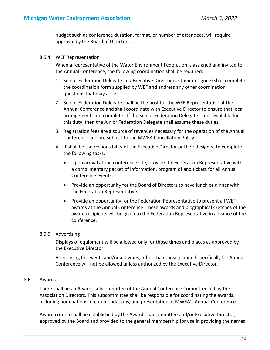budget such as conference duration, format, or number of attendees, will require approval by the Board of Directors.

#### 8.5.4 WEF Representation

When a representative of the Water Environment Federation is assigned and invited to the Annual Conference, the following coordination shall be required:

- 1. Senior Federation Delegate and Executive Director (or their designee) shall complete the coordination form supplied by WEF and address any other coordination questions that may arise.
- 2. Senior Federation Delegate shall be the host for the WEF Representative at the Annual Conference and shall coordinate with Executive Director to ensure that local arrangements are complete. If the Senior Federation Delegate is not available for this duty, then the Junior Federation Delegate shall assume these duties.
- 3. Registration fees are a source of revenues necessary for the operation of the Annual Conference and are subject to the MWEA Cancellation Policy.
- 4. It shall be the responsibility of the Executive Director or their designee to complete the following tasks:
	- Upon arrival at the conference site, provide the Federation Representative with a complimentary packet of information, program of and tickets for all Annual Conference events.
	- Provide an opportunity for the Board of Directors to have lunch or dinner with the Federation Representative.
	- Provide an opportunity for the Federation Representative to present all WEF awards at the Annual Conference. These awards and biographical sketches of the award recipients will be given to the Federation Representative in advance of the conference.

#### 8.5.5 Advertising

Displays of equipment will be allowed only for those times and places as approved by the Executive Director.

Advertising for events and/or activities, other than those planned specifically for Annual Conference will not be allowed unless authorized by the Executive Director.

# 8.6 Awards

There shall be an Awards subcommittee of the Annual Conference Committee led by the Association Directors. This subcommittee shall be responsible for coordinating the awards, including nominations, recommendations, and presentation at MWEA's Annual Conference.

Award criteria shall be established by the Awards subcommittee and/or Executive Director, approved by the Board and provided to the general membership for use in providing the names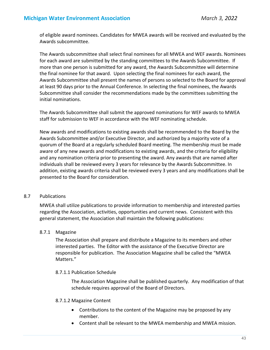of eligible award nominees. Candidates for MWEA awards will be received and evaluated by the Awards subcommittee.

The Awards subcommittee shall select final nominees for all MWEA and WEF awards. Nominees for each award are submitted by the standing committees to the Awards Subcommittee. If more than one person is submitted for any award, the Awards Subcommittee will determine the final nominee for that award. Upon selecting the final nominees for each award, the Awards Subcommittee shall present the names of persons so selected to the Board for approval at least 90 days prior to the Annual Conference. In selecting the final nominees, the Awards Subcommittee shall consider the recommendations made by the committees submitting the initial nominations.

The Awards Subcommittee shall submit the approved nominations for WEF awards to MWEA staff for submission to WEF in accordance with the WEF nominating schedule.

New awards and modifications to existing awards shall be recommended to the Board by the Awards Subcommittee and/or Executive Director, and authorized by a majority vote of a quorum of the Board at a regularly scheduled Board meeting. The membership must be made aware of any new awards and modifications to existing awards, and the criteria for eligibility and any nomination criteria prior to presenting the award. Any awards that are named after individuals shall be reviewed every 3 years for relevance by the Awards Subcommittee. In addition, existing awards criteria shall be reviewed every 3 years and any modifications shall be presented to the Board for consideration.

#### 8.7 Publications

MWEA shall utilize publications to provide information to membership and interested parties regarding the Association, activities, opportunities and current news. Consistent with this general statement, the Association shall maintain the following publications:

# 8.7.1 Magazine

The Association shall prepare and distribute a Magazine to its members and other interested parties. The Editor with the assistance of the Executive Director are responsible for publication. The Association Magazine shall be called the "MWEA Matters."

#### 8.7.1.1 Publication Schedule

The Association Magazine shall be published quarterly. Any modification of that schedule requires approval of the Board of Directors.

#### 8.7.1.2 Magazine Content

- Contributions to the content of the Magazine may be proposed by any member.
- Content shall be relevant to the MWEA membership and MWEA mission.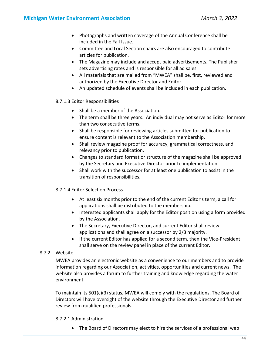- Photographs and written coverage of the Annual Conference shall be included in the Fall Issue.
- Committee and Local Section chairs are also encouraged to contribute articles for publication.
- The Magazine may include and accept paid advertisements. The Publisher sets advertising rates and is responsible for all ad sales.
- All materials that are mailed from "MWEA" shall be, first, reviewed and authorized by the Executive Director and Editor.
- An updated schedule of events shall be included in each publication.

#### 8.7.1.3 Editor Responsibilities

- Shall be a member of the Association.
- The term shall be three years. An individual may not serve as Editor for more than two consecutive terms.
- Shall be responsible for reviewing articles submitted for publication to ensure content is relevant to the Association membership.
- Shall review magazine proof for accuracy, grammatical correctness, and relevancy prior to publication.
- Changes to standard format or structure of the magazine shall be approved by the Secretary and Executive Director prior to implementation.
- Shall work with the successor for at least one publication to assist in the transition of responsibilities.

# 8.7.1.4 Editor Selection Process

- At least six months prior to the end of the current Editor's term, a call for applications shall be distributed to the membership.
- Interested applicants shall apply for the Editor position using a form provided by the Association.
- The Secretary, Executive Director, and current Editor shall review applications and shall agree on a successor by 2/3 majority.
- If the current Editor has applied for a second term, then the Vice-President shall serve on the review panel in place of the current Editor.

# 8.7.2 Website

MWEA provides an electronic website as a convenience to our members and to provide information regarding our Association, activities, opportunities and current news. The website also provides a forum to further training and knowledge regarding the water environment.

To maintain its 501(c)(3) status, MWEA will comply with the regulations. The Board of Directors will have oversight of the website through the Executive Director and further review from qualified professionals.

#### 8.7.2.1 Administration

The Board of Directors may elect to hire the services of a professional web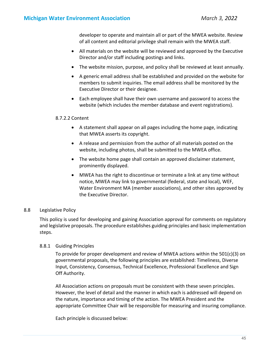developer to operate and maintain all or part of the MWEA website. Review of all content and editorial privilege shall remain with the MWEA staff.

- All materials on the website will be reviewed and approved by the Executive Director and/or staff including postings and links.
- The website mission, purpose, and policy shall be reviewed at least annually.
- A generic email address shall be established and provided on the website for members to submit inquiries. The email address shall be monitored by the Executive Director or their designee.
- Each employee shall have their own username and password to access the website (which includes the member database and event registrations).

#### 8.7.2.2 Content

- A statement shall appear on all pages including the home page, indicating that MWEA asserts its copyright.
- A release and permission from the author of all materials posted on the website, including photos, shall be submitted to the MWEA office.
- The website home page shall contain an approved disclaimer statement, prominently displayed.
- MWEA has the right to discontinue or terminate a link at any time without notice, MWEA may link to governmental (federal, state and local), WEF, Water Environment MA (member associations), and other sites approved by the Executive Director.

# 8.8 Legislative Policy

This policy is used for developing and gaining Association approval for comments on regulatory and legislative proposals. The procedure establishes guiding principles and basic implementation steps.

# 8.8.1 Guiding Principles

To provide for proper development and review of MWEA actions within the 501(c)(3) on governmental proposals, the following principles are established: Timeliness, Diverse Input, Consistency, Consensus, Technical Excellence, Professional Excellence and Sign Off Authority.

All Association actions on proposals must be consistent with these seven principles. However, the level of detail and the manner in which each is addressed will depend on the nature, importance and timing of the action. The MWEA President and the appropriate Committee Chair will be responsible for measuring and insuring compliance.

Each principle is discussed below: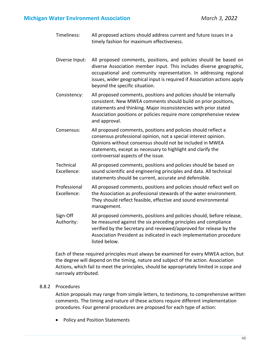# **Michigan Water Environment Association** *March 3, 2022*

- Timeliness: All proposed actions should address current and future issues in a timely fashion for maximum effectiveness.
- Diverse Input: All proposed comments, positions, and policies should be based on diverse Association member input. This includes diverse geographic, occupational and community representation. In addressing regional issues, wider geographical input is required if Association actions apply beyond the specific situation.
- Consistency: All proposed comments, positions and policies should be internally consistent. New MWEA comments should build on prior positions, statements and thinking. Major inconsistencies with prior stated Association positions or policies require more comprehensive review and approval.
- Consensus: All proposed comments, positions and policies should reflect a consensus professional opinion, not a special interest opinion. Opinions without consensus should not be included in MWEA statements, except as necessary to highlight and clarify the controversial aspects of the issue.
- Technical Excellence: All proposed comments, positions and policies should be based on sound scientific and engineering principles and data. All technical statements should be current, accurate and defensible.
- Professional Excellence: All proposed comments, positions and policies should reflect well on the Association as professional stewards of the water environment. They should reflect feasible, effective and sound environmental management.
- Sign‐Off Authority: All proposed comments, positions and policies should, before release, be measured against the six preceding principles and compliance verified by the Secretary and reviewed/approved for release by the Association President as indicated in each implementation procedure listed below.

Each of these required principles must always be examined for every MWEA action, but the degree will depend on the timing, nature and subject of the action. Association Actions, which fail to meet the principles, should be appropriately limited in scope and narrowly attributed.

# 8.8.2 Procedures

Action proposals may range from simple letters, to testimony, to comprehensive written comments. The timing and nature of these actions require different implementation procedures. Four general procedures are proposed for each type of action:

• Policy and Position Statements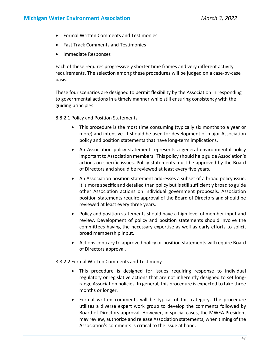- Formal Written Comments and Testimonies
- Fast Track Comments and Testimonies
- Immediate Responses

Each of these requires progressively shorter time frames and very different activity requirements. The selection among these procedures will be judged on a case‐by‐case basis.

These four scenarios are designed to permit flexibility by the Association in responding to governmental actions in a timely manner while still ensuring consistency with the guiding principles

8.8.2.1 Policy and Position Statements

- This procedure is the most time consuming (typically six months to a year or more) and intensive. It should be used for development of major Association policy and position statements that have long‐term implications.
- An Association policy statement represents a general environmental policy important to Association members. This policy should help guide Association's actions on specific issues. Policy statements must be approved by the Board of Directors and should be reviewed at least every five years.
- An Association position statement addresses a subset of a broad policy issue. It is more specific and detailed than policy but is still sufficiently broad to guide other Association actions on individual government proposals. Association position statements require approval of the Board of Directors and should be reviewed at least every three years.
- Policy and position statements should have a high level of member input and review. Development of policy and position statements should involve the committees having the necessary expertise as well as early efforts to solicit broad membership input.
- Actions contrary to approved policy or position statements will require Board of Directors approval.

8.8.2.2 Formal Written Comments and Testimony

- This procedure is designed for issues requiring response to individual regulatory or legislative actions that are not inherently designed to set long‐ range Association policies. In general, this procedure is expected to take three months or longer.
- Formal written comments will be typical of this category. The procedure utilizes a diverse expert work group to develop the comments followed by Board of Directors approval. However, in special cases, the MWEA President may review, authorize and release Association statements, when timing of the Association's comments is critical to the issue at hand.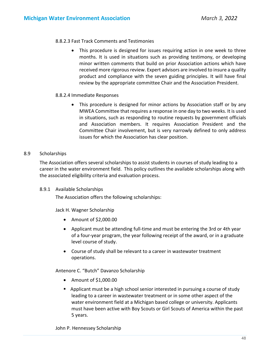#### 8.8.2.3 Fast Track Comments and Testimonies

 This procedure is designed for issues requiring action in one week to three months. It is used in situations such as providing testimony, or developing minor written comments that build on prior Association actions which have received more rigorous review. Expert advisors are involved to insure a quality product and compliance with the seven guiding principles. It will have final review by the appropriate committee Chair and the Association President.

#### 8.8.2.4 Immediate Responses

• This procedure is designed for minor actions by Association staff or by any MWEA Committee that requires a response in one day to two weeks. It is used in situations, such as responding to routine requests by government officials and Association members. It requires Association President and the Committee Chair involvement, but is very narrowly defined to only address issues for which the Association has clear position.

#### 8.9 Scholarships

The Association offers several scholarships to assist students in courses of study leading to a career in the water environment field. This policy outlines the available scholarships along with the associated eligibility criteria and evaluation process.

#### 8.9.1 Available Scholarships

The Association offers the following scholarships:

Jack H. Wagner Scholarship

- Amount of \$2,000.00
- Applicant must be attending full-time and must be entering the 3rd or 4th year of a four‐year program, the year following receipt of the award, or in a graduate level course of study.
- Course of study shall be relevant to a career in wastewater treatment operations.

Antenore C. "Butch" Davanzo Scholarship

- Amount of \$1,000.00
- **•** Applicant must be a high school senior interested in pursuing a course of study leading to a career in wastewater treatment or in some other aspect of the water environment field at a Michigan based college or university. Applicants must have been active with Boy Scouts or Girl Scouts of America within the past 5 years.

John P. Hennessey Scholarship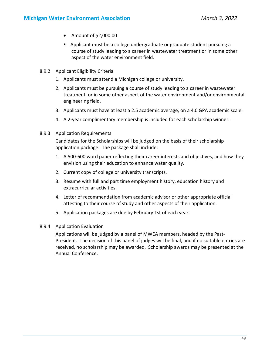- Amount of \$2,000.00
- **•** Applicant must be a college undergraduate or graduate student pursuing a course of study leading to a career in wastewater treatment or in some other aspect of the water environment field.
- 8.9.2 Applicant Eligibility Criteria
	- 1. Applicants must attend a Michigan college or university.
	- 2. Applicants must be pursuing a course of study leading to a career in wastewater treatment, or in some other aspect of the water environment and/or environmental engineering field.
	- 3. Applicants must have at least a 2.5 academic average, on a 4.0 GPA academic scale.
	- 4. A 2‐year complimentary membership is included for each scholarship winner.
- 8.9.3 Application Requirements

Candidates for the Scholarships will be judged on the basis of their scholarship application package. The package shall include:

- 1. A 500‐600 word paper reflecting their career interests and objectives, and how they envision using their education to enhance water quality.
- 2. Current copy of college or university transcripts.
- 3. Resume with full and part time employment history, education history and extracurricular activities.
- 4. Letter of recommendation from academic advisor or other appropriate official attesting to their course of study and other aspects of their application.
- 5. Application packages are due by February 1st of each year.
- 8.9.4 Application Evaluation

Applications will be judged by a panel of MWEA members, headed by the Past‐ President. The decision of this panel of judges will be final, and if no suitable entries are received, no scholarship may be awarded. Scholarship awards may be presented at the Annual Conference.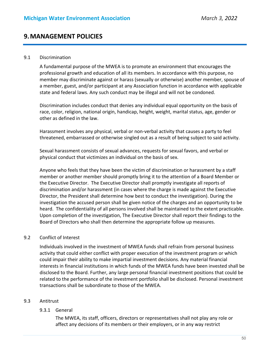# **9.MANAGEMENT POLICIES**

#### 9.1 Discrimination

A fundamental purpose of the MWEA is to promote an environment that encourages the professional growth and education of all its members. In accordance with this purpose, no member may discriminate against or harass (sexually or otherwise) another member, spouse of a member, guest, and/or participant at any Association function in accordance with applicable state and federal laws. Any such conduct may be illegal and will not be condoned.

Discrimination includes conduct that denies any individual equal opportunity on the basis of race, color, religion, national origin, handicap, height, weight, marital status, age, gender or other as defined in the law.

Harassment involves any physical, verbal or non‐verbal activity that causes a party to feel threatened, embarrassed or otherwise singled out as a result of being subject to said activity.

Sexual harassment consists of sexual advances, requests for sexual favors, and verbal or physical conduct that victimizes an individual on the basis of sex.

Anyone who feels that they have been the victim of discrimination or harassment by a staff member or another member should promptly bring it to the attention of a Board Member or the Executive Director. The Executive Director shall promptly investigate all reports of discrimination and/or harassment (in cases where the charge is made against the Executive Director, the President shall determine how best to conduct the investigation). During the investigation the accused person shall be given notice of the charges and an opportunity to be heard. The confidentiality of all persons involved shall be maintained to the extent practicable. Upon completion of the investigation, The Executive Director shall report their findings to the Board of Directors who shall then determine the appropriate follow up measures.

#### 9.2 Conflict of Interest

Individuals involved in the investment of MWEA funds shall refrain from personal business activity that could either conflict with proper execution of the investment program or which could impair their ability to make impartial investment decisions. Any material financial interests in financial institutions in which funds of the MWEA funds have been invested shall be disclosed to the Board. Further, any large personal financial investment positions that could be related to the performance of the investment portfolio shall be disclosed. Personal investment transactions shall be subordinate to those of the MWEA.

# 9.3 Antitrust

#### 9.3.1 General

The MWEA, its staff, officers, directors or representatives shall not play any role or affect any decisions of its members or their employers, or in any way restrict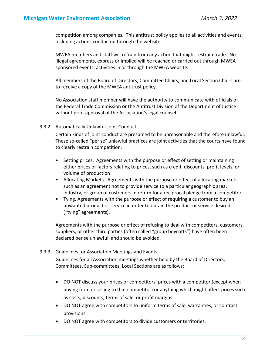competition among companies. This antitrust policy applies to all activities and events, including actions conducted through the website.

MWEA members and staff will refrain from any action that might restrain trade. No illegal agreements, express or implied will be reached or carried out through MWEA sponsored events, activities in or through the MWEA website.

All members of the Board of Directors, Committee Chairs, and Local Section Chairs are to receive a copy of the MWEA antitrust policy.

No Association staff member will have the authority to communicate with officials of the Federal Trade Commission or the Antitrust Division of the Department of Justice without prior approval of the Association's legal counsel.

#### 9.3.2 Automatically Unlawful Joint Conduct

Certain kinds of joint conduct are presumed to be unreasonable and therefore unlawful. These so-called "per se" unlawful practices are joint activities that the courts have found to clearly restrain competition.

- Setting prices. Agreements with the purpose or effect of setting or maintaining either prices or factors relating to prices, such as credit, discounts, profit levels, or volume of production
- Allocating Markets. Agreements with the purpose or effect of allocating markets, such as an agreement not to provide service to a particular geographic area, industry, or group of customers in return for a reciprocal pledge from a competitor.
- Tying. Agreements with the purpose or effect of requiring a customer to buy an unwanted product or service in order to obtain the product or service desired ("tying" agreements).

Agreements with the purpose or effect of refusing to deal with competitors, customers, suppliers, or other third parties (often called "group boycotts") have often been declared per se unlawful, and should be avoided.

#### 9.3.3 Guidelines for Association Meetings and Events

Guidelines for all Association meetings whether held by the Board of Directors, Committees, Sub‐committees, Local Sections are as follows:

- DO NOT discuss your prices or competitors' prices with a competitor (except when buying from or selling to that competitor) or anything which might affect prices such as costs, discounts, terms of sale, or profit margins.
- DO NOT agree with competitors to uniform terms of sale, warranties, or contract provisions.
- DO NOT agree with competitors to divide customers or territories.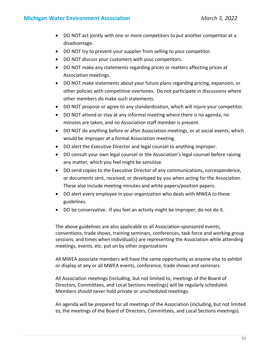- DO NOT act jointly with one or more competitors to put another competitor at a disadvantage.
- DO NOT try to prevent your supplier from selling to your competitor.
- DO NOT discuss your customers with your competitors.
- DO NOT make any statements regarding prices or matters affecting prices at Association meetings.
- DO NOT make statements about your future plans regarding pricing, expansion, or other policies with competitive overtones. Do not participate in discussions where other members do make such statements.
- DO NOT propose or agree to any standardization, which will injure your competitor.
- DO NOT attend or stay at any informal meeting where there is no agenda, no minutes are taken, and no Association staff member is present.
- DO NOT do anything before or after Association meetings, or at social events, which would be improper at a formal Association meeting.
- DO alert the Executive Director and legal counsel to anything improper.
- DO consult your own legal counsel or the Association's legal counsel before raising any matter, which you feel might be sensitive.
- DO send copies to the Executive Director of any communications, correspondence, or documents sent, received, or developed by you when acting for the Association. These also include meeting minutes and white papers/position papers.
- DO alert every employee in your organization who deals with MWEA to these guidelines.
- DO be conservative. If you feel an activity might be improper, do not do it.

The above guidelines are also applicable to all Association‐sponsored events, conventions, trade shows, training seminars, conferences, task force and working group sessions, and times when individual(s) are representing the Association while attending meetings, events, etc. put on by other organizations

All MWEA associate members will have the same opportunity as anyone else to exhibit or display at any or all MWEA events, conference, trade shows and seminars.

All Association meetings (including, but not limited to, meetings of the Board of Directors, Committees, and Local Sections meetings) will be regularly scheduled. Members should never hold private or unscheduled meetings.

An agenda will be prepared for all meetings of the Association (including, but not limited to, the meetings of the Board of Directors, Committees, and Local Sections meetings).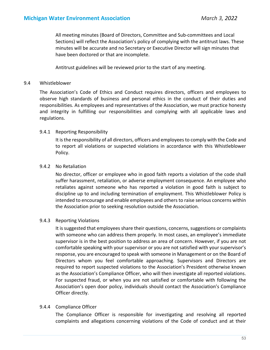All meeting minutes (Board of Directors, Committee and Sub‐committees and Local Sections) will reflect the Association's policy of complying with the antitrust laws. These minutes will be accurate and no Secretary or Executive Director will sign minutes that have been doctored or that are incomplete.

Antitrust guidelines will be reviewed prior to the start of any meeting.

#### 9.4 Whistleblower

The Association's Code of Ethics and Conduct requires directors, officers and employees to observe high standards of business and personal ethics in the conduct of their duties and responsibilities. As employees and representatives of the Association, we must practice honesty and integrity in fulfilling our responsibilities and complying with all applicable laws and regulations.

#### 9.4.1 Reporting Responsibility

It is the responsibility of all directors, officers and employees to comply with the Code and to report all violations or suspected violations in accordance with this Whistleblower Policy.

#### 9.4.2 No Retaliation

No director, officer or employee who in good faith reports a violation of the code shall suffer harassment, retaliation, or adverse employment consequence. An employee who retaliates against someone who has reported a violation in good faith is subject to discipline up to and including termination of employment. This Whistleblower Policy is intended to encourage and enable employees and others to raise serious concerns within the Association prior to seeking resolution outside the Association.

#### 9.4.3 Reporting Violations

It is suggested that employees share their questions, concerns, suggestions or complaints with someone who can address them properly. In most cases, an employee's immediate supervisor is in the best position to address an area of concern. However, if you are not comfortable speaking with your supervisor or you are not satisfied with your supervisor's response, you are encouraged to speak with someone in Management or on the Board of Directors whom you feel comfortable approaching. Supervisors and Directors are required to report suspected violations to the Association's President otherwise known as the Association's Compliance Officer, who will then investigate all reported violations. For suspected fraud, or when you are not satisfied or comfortable with following the Association's open door policy, individuals should contact the Association's Compliance Officer directly.

#### 9.4.4 Compliance Officer

The Compliance Officer is responsible for investigating and resolving all reported complaints and allegations concerning violations of the Code of conduct and at their